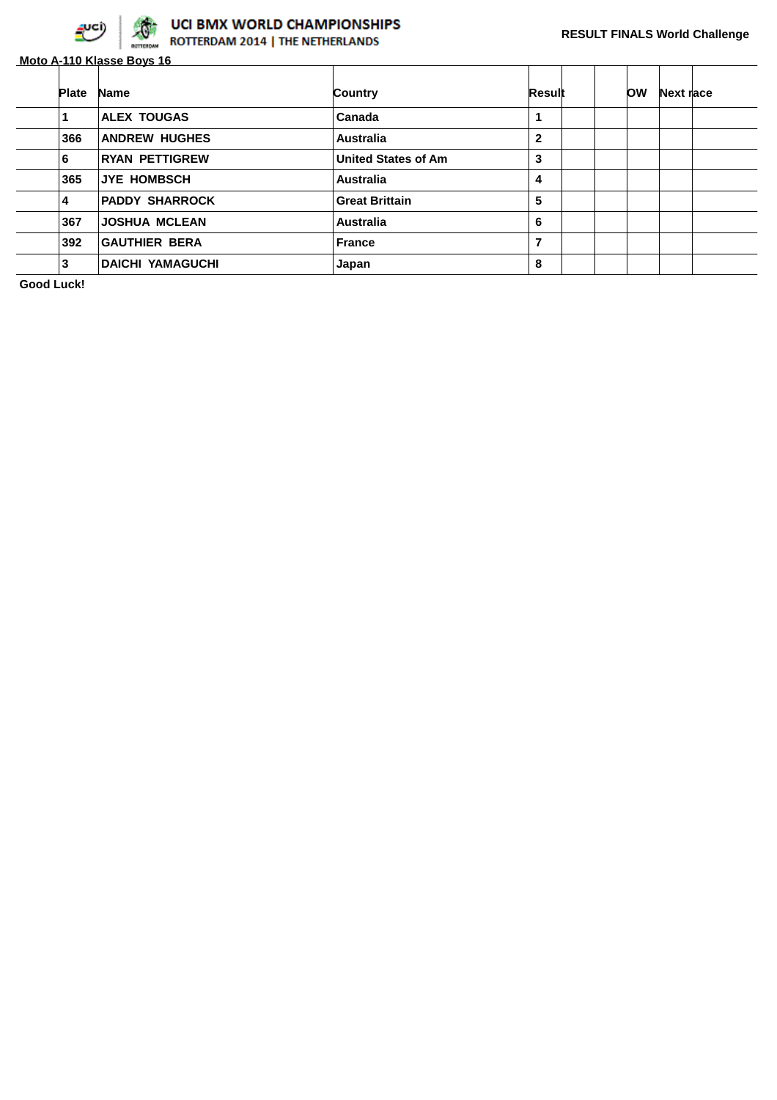

# **OCI BMX WORLD CHAMPIONSHIPS**<br>ROTTERDAM 2014 | THE NETHERLANDS

|              | Moto A-110 Klasse Boys 16 |                            |              |           |           |  |
|--------------|---------------------------|----------------------------|--------------|-----------|-----------|--|
| <b>Plate</b> | <b>Name</b>               | Country                    | Result       | <b>OW</b> | Next race |  |
|              | <b>ALEX TOUGAS</b>        | Canada                     | 1            |           |           |  |
| 366          | <b>ANDREW HUGHES</b>      | <b>Australia</b>           | $\mathbf{2}$ |           |           |  |
| 6            | <b>RYAN PETTIGREW</b>     | <b>United States of Am</b> | 3            |           |           |  |
| 365          | JYE HOMBSCH               | <b>Australia</b>           | 4            |           |           |  |
| 4            | <b>PADDY SHARROCK</b>     | <b>Great Brittain</b>      | 5            |           |           |  |
| 367          | <b>JOSHUA MCLEAN</b>      | <b>Australia</b>           | 6            |           |           |  |
| 392          | <b>GAUTHIER BERA</b>      | <b>France</b>              | 7            |           |           |  |
| 3            | <b>DAICHI YAMAGUCHI</b>   | Japan                      | 8            |           |           |  |

**Good Luck!**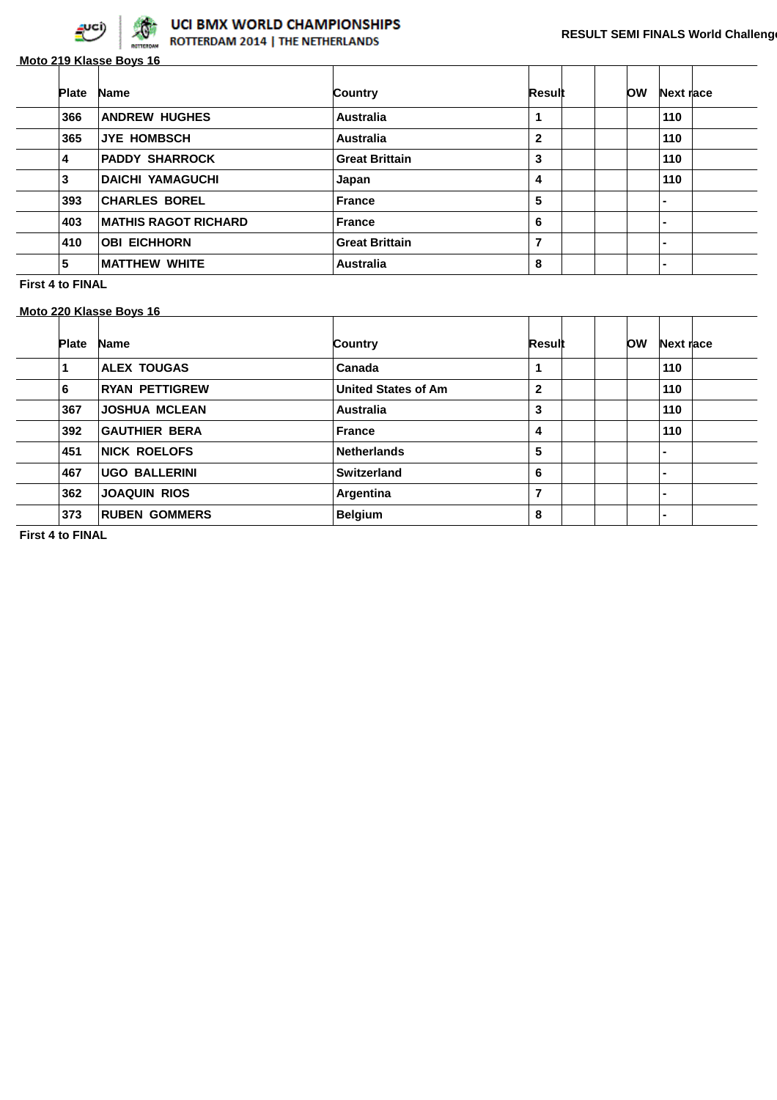

**Moto 219 Klasse Boys 16**

| <b>Plate</b> | <b>Name</b>                 | Country               | Result         | <b>OW</b> | Next race      |
|--------------|-----------------------------|-----------------------|----------------|-----------|----------------|
| 366          | <b>ANDREW HUGHES</b>        | <b>Australia</b>      | 1              |           | 110            |
| 365          | <b>JYE HOMBSCH</b>          | Australia             | $\mathbf{2}$   |           | 110            |
| 4            | <b>PADDY SHARROCK</b>       | <b>Great Brittain</b> | 3              |           | 110            |
| 3            | <b>DAICHI YAMAGUCHI</b>     | Japan                 | 4              |           | 110            |
| 393          | <b>CHARLES BOREL</b>        | <b>France</b>         | 5              |           | $\blacksquare$ |
| 403          | <b>MATHIS RAGOT RICHARD</b> | France                | 6              |           | ۰.             |
| 410          | <b>OBI EICHHORN</b>         | <b>Great Brittain</b> | $\overline{7}$ |           | -              |
| 5            | <b>MATTHEW WHITE</b>        | <b>Australia</b>      | 8              |           |                |

**First 4 to FINAL**

#### **Moto 220 Klasse Boys 16**

| <b>Name</b>           | Country                    | Result       | <b>OW</b> | Next race      |
|-----------------------|----------------------------|--------------|-----------|----------------|
| <b>ALEX TOUGAS</b>    | Canada                     | 1            |           | 110            |
| <b>RYAN PETTIGREW</b> | <b>United States of Am</b> | $\mathbf{2}$ |           | 110            |
| <b>JOSHUA MCLEAN</b>  | <b>Australia</b>           | 3            |           | 110            |
| <b>GAUTHIER BERA</b>  | <b>France</b>              | 4            |           | 110            |
| <b>NICK ROELOFS</b>   | <b>Netherlands</b>         | 5            |           | $\blacksquare$ |
| <b>UGO BALLERINI</b>  | Switzerland                | 6            |           | $\blacksquare$ |
| <b>JOAQUIN RIOS</b>   | Argentina                  | 7            |           | $\blacksquare$ |
| <b>RUBEN GOMMERS</b>  | <b>Belgium</b>             | 8            |           | ۰.             |
|                       |                            |              |           |                |

**First 4 to FINAL**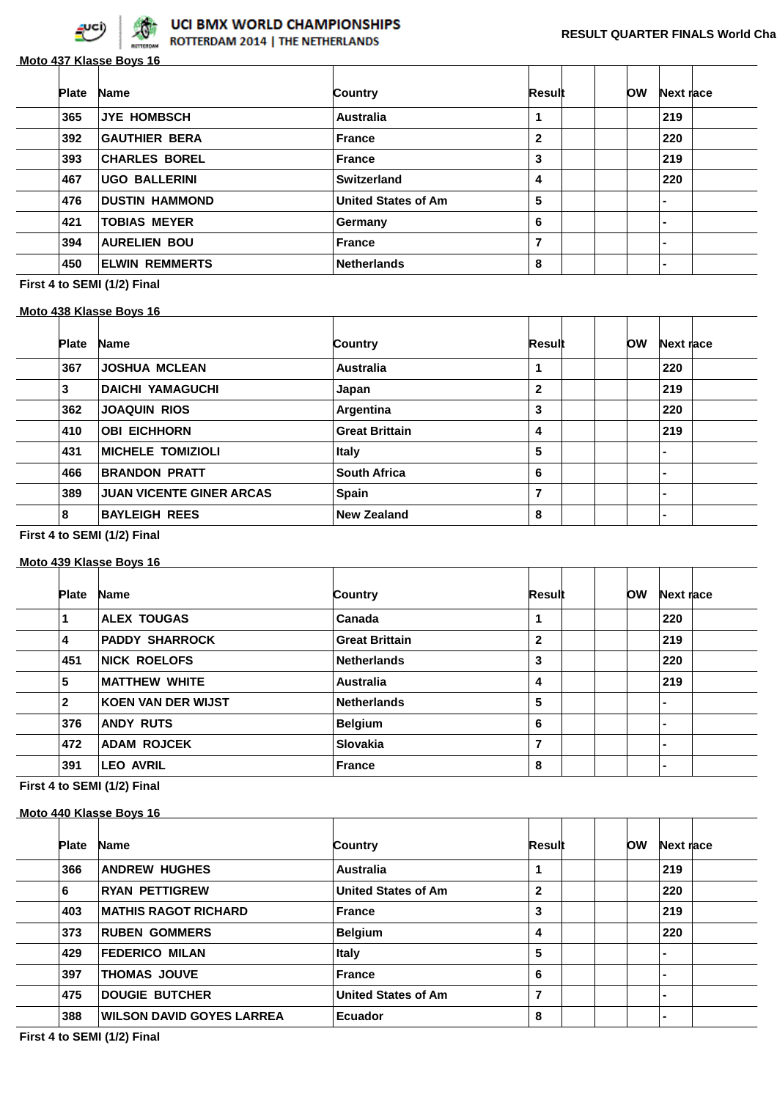

## **Moto 437 Klasse Boys 16**

| <b>Plate</b> | <b>Name</b>           | Country                    | Result       | ЮW | Next race      |  |
|--------------|-----------------------|----------------------------|--------------|----|----------------|--|
| 365          | <b>JYE HOMBSCH</b>    | <b>Australia</b>           |              |    | 219            |  |
| 392          | <b>GAUTHIER BERA</b>  | <b>France</b>              | $\mathbf{2}$ |    | 220            |  |
| 393          | <b>CHARLES BOREL</b>  | <b>France</b>              | 3            |    | 219            |  |
| 467          | <b>UGO BALLERINI</b>  | <b>Switzerland</b>         | 4            |    | 220            |  |
| 476          | <b>DUSTIN HAMMOND</b> | <b>United States of Am</b> | 5            |    | $\blacksquare$ |  |
| 421          | <b>TOBIAS MEYER</b>   | Germany                    | 6            |    | $\blacksquare$ |  |
| 394          | <b>AURELIEN BOU</b>   | <b>France</b>              | 7            |    | $\blacksquare$ |  |
| 450          | <b>ELWIN REMMERTS</b> | <b>Netherlands</b>         | 8            |    | $\blacksquare$ |  |

## **First 4 to SEMI (1/2) Final**

#### **Moto 438 Klasse Boys 16**

| <b>Plate</b> | <b>Name</b>                     | Country               | Result       | OW | Next race      |  |
|--------------|---------------------------------|-----------------------|--------------|----|----------------|--|
| 367          | <b>JOSHUA MCLEAN</b>            | <b>Australia</b>      |              |    | 220            |  |
| 3            | <b>DAICHI YAMAGUCHI</b>         | Japan                 | $\mathbf{2}$ |    | 219            |  |
| 362          | <b>JOAQUIN RIOS</b>             | Argentina             | 3            |    | 220            |  |
| 410          | <b>OBI EICHHORN</b>             | <b>Great Brittain</b> | 4            |    | 219            |  |
| 431          | <b>MICHELE TOMIZIOLI</b>        | <b>Italy</b>          | 5            |    | $\blacksquare$ |  |
| 466          | <b>BRANDON PRATT</b>            | <b>South Africa</b>   | 6            |    | $\blacksquare$ |  |
| 389          | <b>JUAN VICENTE GINER ARCAS</b> | Spain                 | 7            |    | $\blacksquare$ |  |
| 8            | <b>BAYLEIGH REES</b>            | <b>New Zealand</b>    | 8            |    | -              |  |
|              |                                 |                       |              |    |                |  |

#### **First 4 to SEMI (1/2) Final**

#### **Moto 439 Klasse Boys 16**

| <b>Plate</b> | <b>Name</b>               | Country               | Result         | ЮW | Next race      |  |
|--------------|---------------------------|-----------------------|----------------|----|----------------|--|
|              | <b>ALEX TOUGAS</b>        | Canada                |                |    | 220            |  |
| 4            | <b>PADDY SHARROCK</b>     | <b>Great Brittain</b> | $\mathbf{2}$   |    | 219            |  |
| 451          | <b>NICK ROELOFS</b>       | <b>Netherlands</b>    | 3              |    | 220            |  |
| 5            | <b>MATTHEW WHITE</b>      | <b>Australia</b>      | 4              |    | 219            |  |
| 2            | <b>KOEN VAN DER WIJST</b> | <b>Netherlands</b>    | 5              |    | $\blacksquare$ |  |
| 376          | <b>ANDY RUTS</b>          | <b>Belgium</b>        | 6              |    | $\blacksquare$ |  |
| 472          | <b>ADAM ROJCEK</b>        | Slovakia              | $\overline{7}$ |    | $\blacksquare$ |  |
| 391          | <b>LEO AVRIL</b>          | <b>France</b>         | 8              |    | $\blacksquare$ |  |

**First 4 to SEMI (1/2) Final**

## **Moto 440 Klasse Boys 16**

| <b>Plate</b> | <b>Name</b>                      | Country                    | Result         | ЮW | Next race                |  |
|--------------|----------------------------------|----------------------------|----------------|----|--------------------------|--|
| 366          | <b>ANDREW HUGHES</b>             | <b>Australia</b>           | 1              |    | 219                      |  |
| 6            | <b>RYAN PETTIGREW</b>            | <b>United States of Am</b> | $\mathbf{2}$   |    | 220                      |  |
| 403          | <b>MATHIS RAGOT RICHARD</b>      | <b>France</b>              | 3              |    | 219                      |  |
| 373          | <b>RUBEN GOMMERS</b>             | <b>Belgium</b>             | 4              |    | 220                      |  |
| 429          | <b>FEDERICO MILAN</b>            | <b>Italy</b>               | 5              |    | $\blacksquare$           |  |
| 397          | <b>THOMAS JOUVE</b>              | <b>France</b>              | 6              |    | $\blacksquare$           |  |
| 475          | <b>DOUGIE BUTCHER</b>            | <b>United States of Am</b> | $\overline{7}$ |    | $\blacksquare$           |  |
| 388          | <b>WILSON DAVID GOYES LARREA</b> | Ecuador                    | 8              |    | $\overline{\phantom{0}}$ |  |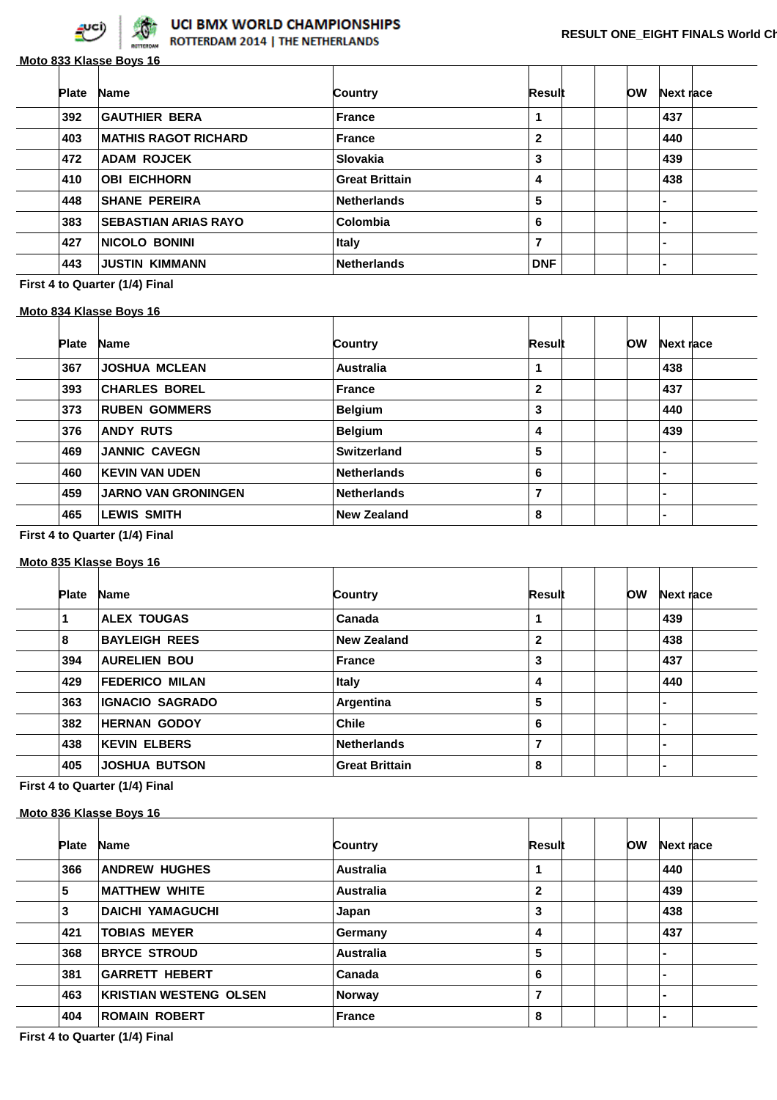

ROTTERDAM 2014 | THE NETHERLANDS

|              | Moto 833 Klasse Boys 16     |                       |                |            |                          |  |
|--------------|-----------------------------|-----------------------|----------------|------------|--------------------------|--|
| <b>Plate</b> | <b>Name</b>                 | Country               | Result         | <b>low</b> | Next race                |  |
| 392          | <b>GAUTHIER BERA</b>        | <b>France</b>         |                |            | 437                      |  |
| 403          | <b>MATHIS RAGOT RICHARD</b> | <b>France</b>         | $\overline{2}$ |            | 440                      |  |
| 472          | <b>ADAM ROJCEK</b>          | <b>Slovakia</b>       | 3              |            | 439                      |  |
| 410          | <b>OBI EICHHORN</b>         | <b>Great Brittain</b> | 4              |            | 438                      |  |
| 448          | <b>SHANE PEREIRA</b>        | <b>Netherlands</b>    | 5              |            | $\overline{\phantom{0}}$ |  |
| 383          | <b>SEBASTIAN ARIAS RAYO</b> | Colombia              | 6              |            | $\blacksquare$           |  |
| 427          | <b>NICOLO BONINI</b>        | <b>Italy</b>          | 7              |            | $\overline{\phantom{0}}$ |  |
| 443          | <b>JUSTIN KIMMANN</b>       | <b>Netherlands</b>    | <b>DNF</b>     |            |                          |  |

**First 4 to Quarter (1/4) Final**

## **Moto 834 Klasse Boys 16**

| <b>Plate</b> | <b>Name</b>                | Country            | Result       |  | OW | Next race      |  |
|--------------|----------------------------|--------------------|--------------|--|----|----------------|--|
|              |                            |                    |              |  |    |                |  |
| 367          | <b>JOSHUA MCLEAN</b>       | Australia          |              |  |    | 438            |  |
| 393          | <b>CHARLES BOREL</b>       | <b>France</b>      | $\mathbf{2}$ |  |    | 437            |  |
| 373          | <b>RUBEN GOMMERS</b>       | <b>Belgium</b>     | 3            |  |    | 440            |  |
| 376          | <b>ANDY RUTS</b>           | <b>Belgium</b>     | 4            |  |    | 439            |  |
| 469          | <b>JANNIC CAVEGN</b>       | <b>Switzerland</b> | 5            |  |    | $\blacksquare$ |  |
| 460          | <b>KEVIN VAN UDEN</b>      | <b>Netherlands</b> | 6            |  |    | $\blacksquare$ |  |
| 459          | <b>JARNO VAN GRONINGEN</b> | <b>Netherlands</b> | 7            |  |    | $\blacksquare$ |  |
| 465          | <b>LEWIS SMITH</b>         | <b>New Zealand</b> | 8            |  |    | $\blacksquare$ |  |

<u> 1980 - Johann John Stone, mars eta biztanleria (</u>

**First 4 to Quarter (1/4) Final**

#### **Moto 835 Klasse Boys 16**

| <b>Plate</b> | <b>Name</b>            | Country               | Result       | ЮW | Next race      |  |
|--------------|------------------------|-----------------------|--------------|----|----------------|--|
|              | <b>ALEX TOUGAS</b>     | Canada                |              |    | 439            |  |
| 8            | <b>BAYLEIGH REES</b>   | <b>New Zealand</b>    | $\mathbf{2}$ |    | 438            |  |
| 394          | <b>AURELIEN BOU</b>    | <b>France</b>         | 3            |    | 437            |  |
| 429          | <b>FEDERICO MILAN</b>  | <b>Italy</b>          | 4            |    | 440            |  |
| 363          | <b>IGNACIO SAGRADO</b> | Argentina             | 5            |    | $\blacksquare$ |  |
| 382          | <b>HERNAN GODOY</b>    | <b>Chile</b>          | 6            |    | $\blacksquare$ |  |
| 438          | <b>KEVIN ELBERS</b>    | <b>Netherlands</b>    | 7            |    | $\blacksquare$ |  |
| 405          | <b>JOSHUA BUTSON</b>   | <b>Great Brittain</b> | 8            |    | $\blacksquare$ |  |
|              |                        |                       |              |    |                |  |

**First 4 to Quarter (1/4) Final**

#### **Moto 836 Klasse Boys 16**

| <b>Plate</b> | <b>Name</b>                   | Country          | Result       | ЮW | Next race      |  |
|--------------|-------------------------------|------------------|--------------|----|----------------|--|
| 366          | <b>ANDREW HUGHES</b>          | <b>Australia</b> |              |    | 440            |  |
| 5            | <b>MATTHEW WHITE</b>          | <b>Australia</b> | $\mathbf{2}$ |    | 439            |  |
| 3            | <b>DAICHI YAMAGUCHI</b>       | Japan            | 3            |    | 438            |  |
| 421          | <b>TOBIAS MEYER</b>           | Germany          | 4            |    | 437            |  |
| 368          | <b>BRYCE STROUD</b>           | <b>Australia</b> | 5            |    | $\blacksquare$ |  |
| 381          | <b>GARRETT HEBERT</b>         | Canada           | 6            |    | $\blacksquare$ |  |
| 463          | <b>KRISTIAN WESTENG OLSEN</b> | Norway           | 7            |    | $\blacksquare$ |  |
| 404          | <b>ROMAIN ROBERT</b>          | <b>France</b>    | 8            |    | $\blacksquare$ |  |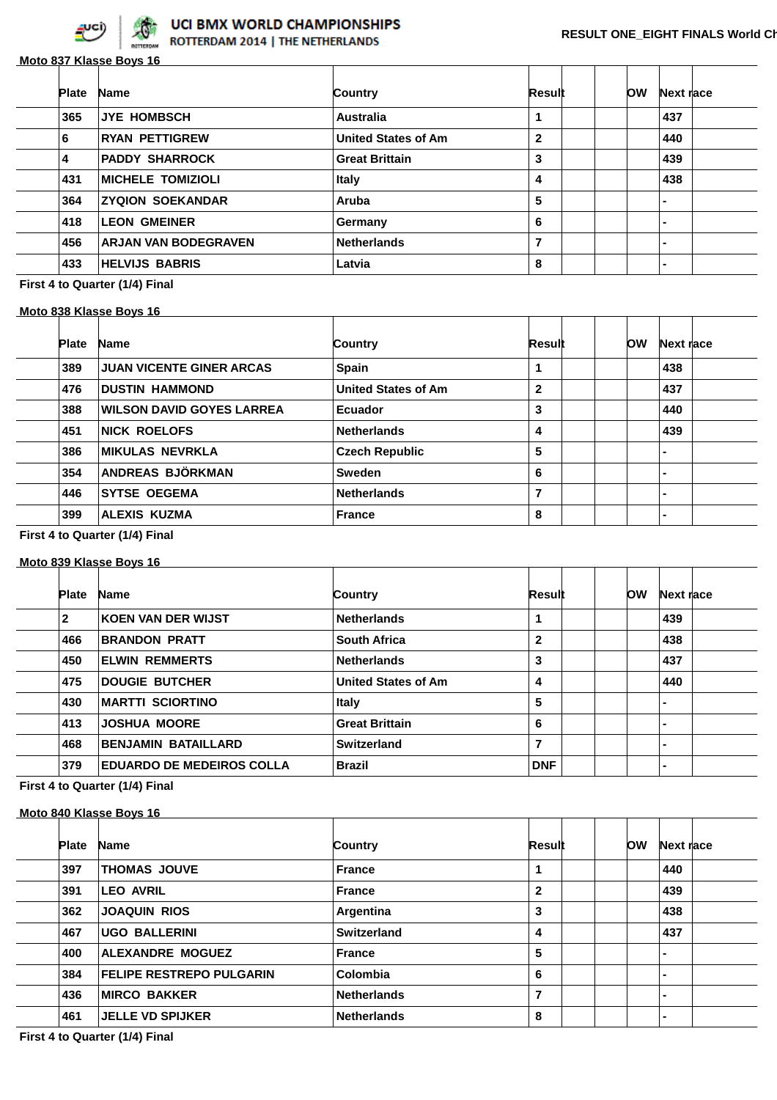

**Moto 837 Klasse Boys 16**

| <b>Plate</b> | <b>Name</b>              | Country                    | Result       | <b>OW</b> | Next race      |  |
|--------------|--------------------------|----------------------------|--------------|-----------|----------------|--|
| 365          | <b>JYE HOMBSCH</b>       | <b>Australia</b>           |              |           | 437            |  |
| 6            | <b>RYAN PETTIGREW</b>    | <b>United States of Am</b> | $\mathbf{2}$ |           | 440            |  |
| 4            | <b>PADDY SHARROCK</b>    | <b>Great Brittain</b>      | 3            |           | 439            |  |
| 431          | <b>MICHELE TOMIZIOLI</b> | <b>Italy</b>               | 4            |           | 438            |  |
| 364          | <b>ZYQION SOEKANDAR</b>  | Aruba                      | 5            |           | $\blacksquare$ |  |
| 418          | <b>LEON GMEINER</b>      | Germany                    | 6            |           | $\blacksquare$ |  |
| 456          | ARJAN VAN BODEGRAVEN     | <b>Netherlands</b>         | 7            |           | $\blacksquare$ |  |
| 433          | <b>HELVIJS BABRIS</b>    | Latvia                     | 8            |           | $\blacksquare$ |  |
|              |                          |                            |              |           |                |  |

#### **First 4 to Quarter (1/4) Final**

#### **Moto 838 Klasse Boys 16**

| ЮW<br>Country<br><b>Plate</b><br>Next race<br><b>Name</b><br>Result<br>Spain<br><b>JUAN VICENTE GINER ARCAS</b><br>389<br>438<br>$\mathbf{2}$<br>476<br><b>DUSTIN HAMMOND</b><br><b>United States of Am</b><br>437<br>388<br><b>WILSON DAVID GOYES LARREA</b><br>3<br>440<br><b>Ecuador</b><br>451<br><b>NICK ROELOFS</b><br><b>Netherlands</b><br>439<br>4<br>5<br><b>MIKULAS NEVRKLA</b><br><b>Czech Republic</b><br>386<br>$\blacksquare$<br>ANDREAS BJÖRKMAN<br>354<br><b>Sweden</b><br>6<br>$\blacksquare$<br>⇁<br>446<br><b>SYTSE OEGEMA</b><br><b>Netherlands</b><br>$\blacksquare$ |  |  |  |  |  |
|--------------------------------------------------------------------------------------------------------------------------------------------------------------------------------------------------------------------------------------------------------------------------------------------------------------------------------------------------------------------------------------------------------------------------------------------------------------------------------------------------------------------------------------------------------------------------------------------|--|--|--|--|--|
|                                                                                                                                                                                                                                                                                                                                                                                                                                                                                                                                                                                            |  |  |  |  |  |
|                                                                                                                                                                                                                                                                                                                                                                                                                                                                                                                                                                                            |  |  |  |  |  |
|                                                                                                                                                                                                                                                                                                                                                                                                                                                                                                                                                                                            |  |  |  |  |  |
|                                                                                                                                                                                                                                                                                                                                                                                                                                                                                                                                                                                            |  |  |  |  |  |
|                                                                                                                                                                                                                                                                                                                                                                                                                                                                                                                                                                                            |  |  |  |  |  |
|                                                                                                                                                                                                                                                                                                                                                                                                                                                                                                                                                                                            |  |  |  |  |  |
|                                                                                                                                                                                                                                                                                                                                                                                                                                                                                                                                                                                            |  |  |  |  |  |
|                                                                                                                                                                                                                                                                                                                                                                                                                                                                                                                                                                                            |  |  |  |  |  |
| <b>ALEXIS KUZMA</b><br>399<br>8<br><b>France</b><br>-                                                                                                                                                                                                                                                                                                                                                                                                                                                                                                                                      |  |  |  |  |  |

#### **First 4 to Quarter (1/4) Final**

#### **Moto 839 Klasse Boys 16**

| <b>Plate</b> | <b>Name</b>                      | Country                    | Result         | ЮW | Next race                |  |
|--------------|----------------------------------|----------------------------|----------------|----|--------------------------|--|
| $\mathbf{2}$ | <b>KOEN VAN DER WIJST</b>        | <b>Netherlands</b>         | 1              |    | 439                      |  |
| 466          | <b>BRANDON PRATT</b>             | <b>South Africa</b>        | $\mathbf{2}$   |    | 438                      |  |
| 450          | <b>ELWIN REMMERTS</b>            | <b>Netherlands</b>         | 3              |    | 437                      |  |
| 475          | <b>DOUGIE BUTCHER</b>            | <b>United States of Am</b> | 4              |    | 440                      |  |
| 430          | <b>MARTTI SCIORTINO</b>          | <b>Italy</b>               | 5              |    | $\blacksquare$           |  |
| 413          | <b>JOSHUA MOORE</b>              | <b>Great Brittain</b>      | 6              |    | $\overline{\phantom{0}}$ |  |
| 468          | <b>BENJAMIN BATAILLARD</b>       | Switzerland                | $\overline{7}$ |    | $\overline{\phantom{0}}$ |  |
| 379          | <b>EDUARDO DE MEDEIROS COLLA</b> | <b>Brazil</b>              | <b>DNF</b>     |    | $\blacksquare$           |  |
|              |                                  |                            |                |    |                          |  |

## **First 4 to Quarter (1/4) Final**

#### **Moto 840 Klasse Boys 16**

| <b>Plate</b> | <b>Name</b>                     | Country            | Result         |  | ЮW | Next race      |  |
|--------------|---------------------------------|--------------------|----------------|--|----|----------------|--|
| 397          | <b>THOMAS JOUVE</b>             | <b>France</b>      | 1              |  |    | 440            |  |
| 391          | <b>LEO AVRIL</b>                | <b>France</b>      | $\mathbf{2}$   |  |    | 439            |  |
| 362          | <b>JOAQUIN RIOS</b>             | Argentina          | 3              |  |    | 438            |  |
| 467          | <b>UGO BALLERINI</b>            | Switzerland        | 4              |  |    | 437            |  |
| 400          | <b>ALEXANDRE MOGUEZ</b>         | <b>France</b>      | 5              |  |    | $\blacksquare$ |  |
| 384          | <b>FELIPE RESTREPO PULGARIN</b> | Colombia           | 6              |  |    | $\blacksquare$ |  |
| 436          | <b>MIRCO BAKKER</b>             | <b>Netherlands</b> | $\overline{7}$ |  |    | $\blacksquare$ |  |
| 461          | <b>JELLE VD SPIJKER</b>         | <b>Netherlands</b> | 8              |  |    | $\blacksquare$ |  |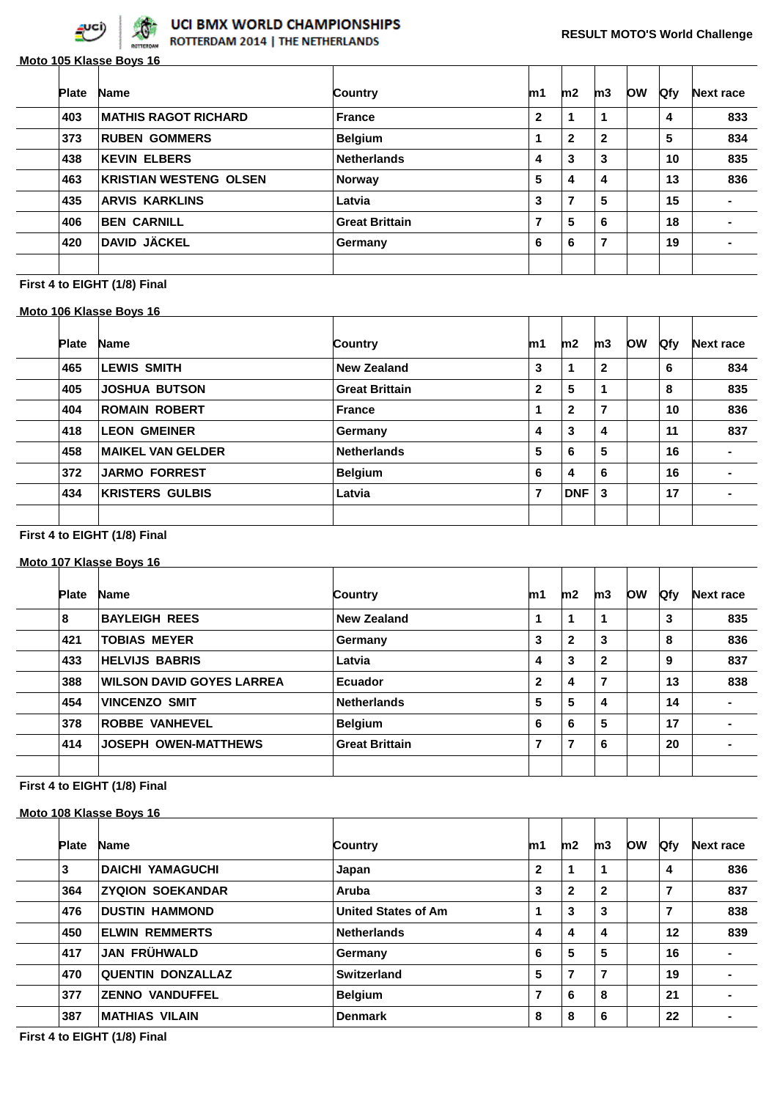

**Moto 105 Klasse Boys 16**

| <b>Plate</b> | <b>Name</b>                   | Country               | m1           | m2           | m3           | <b>OW</b> | <b>Qfy</b> | <b>Next race</b> |
|--------------|-------------------------------|-----------------------|--------------|--------------|--------------|-----------|------------|------------------|
| 403          | <b>MATHIS RAGOT RICHARD</b>   | ∣ France              | $\mathbf{2}$ | 1            | 1            |           | 4          | 833              |
| 373          | <b>RUBEN GOMMERS</b>          | <b>Belgium</b>        |              | $\mathbf{2}$ | $\mathbf{2}$ |           | 5          | 834              |
| 438          | <b>KEVIN ELBERS</b>           | <b>Netherlands</b>    | 4            | 3            | 3            |           | 10         | 835              |
| 463          | <b>KRISTIAN WESTENG OLSEN</b> | <b>Norway</b>         | 5            | 4            | 4            |           | 13         | 836              |
| 435          | <b>ARVIS KARKLINS</b>         | Latvia                | 3            | 7            | 5            |           | 15         |                  |
| 406          | <b>BEN CARNILL</b>            | <b>Great Brittain</b> | 7            | 5            | 6            |           | 18         | -                |
| 420          | <b>DAVID JÄCKEL</b>           | Germany               | 6            | 6            | 7            |           | 19         | -                |

## **First 4 to EIGHT (1/8) Final**

#### **Moto 106 Klasse Boys 16**

| <b>Plate</b> | <b>Name</b>              | Country               | m1 | m2           | m3           | <b>OW</b> | <b>Qfy</b> | <b>Next race</b> |
|--------------|--------------------------|-----------------------|----|--------------|--------------|-----------|------------|------------------|
| 465          | LEWIS SMITH              | <b>New Zealand</b>    | 3  | 1            | $\mathbf{2}$ |           | 6          | 834              |
| 405          | <b>JOSHUA BUTSON</b>     | <b>Great Brittain</b> | 2  | 5            | 1            |           | 8          | 835              |
| 404          | <b>ROMAIN ROBERT</b>     | <b>France</b>         |    | $\mathbf{2}$ | 7            |           | 10         | 836              |
| 418          | <b>LEON GMEINER</b>      | Germany               | 4  | 3            | 4            |           | 11         | 837              |
| 458          | <b>MAIKEL VAN GELDER</b> | <b>Netherlands</b>    | 5  | 6            | 5            |           | 16         |                  |
| 372          | <b>JARMO FORREST</b>     | <b>Belgium</b>        | 6  | 4            | 6            |           | 16         |                  |
| 434          | <b>KRISTERS GULBIS</b>   | Latvia                | 7  | <b>DNF</b>   | 3            |           | 17         |                  |
|              |                          |                       |    |              |              |           |            |                  |
|              |                          |                       |    |              |              |           |            |                  |

#### **First 4 to EIGHT (1/8) Final**

#### **Moto 107 Klasse Boys 16**

| <b>Plate</b> | <b>Name</b>                      | Country               | m1             | m2 | m3             | <b>low</b> | <b>Qfy</b> | <b>Next race</b> |
|--------------|----------------------------------|-----------------------|----------------|----|----------------|------------|------------|------------------|
| 8            | <b>BAYLEIGH REES</b>             | New Zealand           |                | 1  | 1              |            | 3          | 835              |
| 421          | <b>TOBIAS MEYER</b>              | Germany               | 3              | 2  | 3              |            | 8          | 836              |
| 433          | <b>HELVIJS BABRIS</b>            | Latvia                | 4              | 3  | $\mathbf{2}$   |            | 9          | 837              |
| 388          | <b>WILSON DAVID GOYES LARREA</b> | Ecuador               | $\mathbf{2}$   | 4  | $\overline{7}$ |            | 13         | 838              |
| 454          | <b>VINCENZO SMIT</b>             | <b>Netherlands</b>    | 5              | 5  | 4              |            | 14         | $\blacksquare$   |
| 378          | <b>ROBBE VANHEVEL</b>            | <b>Belgium</b>        | 6              | 6  | 5              |            | 17         | $\blacksquare$   |
| 414          | <b>JOSEPH OWEN-MATTHEWS</b>      | <b>Great Brittain</b> | $\overline{7}$ | 7  | 6              |            | 20         |                  |
|              |                                  |                       |                |    |                |            |            |                  |
|              |                                  |                       |                |    |                |            |            |                  |

## **First 4 to EIGHT (1/8) Final**

#### **Moto 108 Klasse Boys 16**

| <b>Plate</b> | <b>Name</b>              | Country                    | m1           | m2           | m3             | <b>OW</b> | <b>Qfy</b> | Next race      |
|--------------|--------------------------|----------------------------|--------------|--------------|----------------|-----------|------------|----------------|
| 3            | <b>DAICHI YAMAGUCHI</b>  | Japan                      | $\mathbf{2}$ |              | 1              |           | 4          | 836            |
| 364          | <b>ZYQION SOEKANDAR</b>  | Aruba                      | 3            | $\mathbf{2}$ | $\mathbf{2}$   |           | 7          | 837            |
| 476          | <b>DUSTIN HAMMOND</b>    | <b>United States of Am</b> | 1            | 3            | 3              |           | 7          | 838            |
| 450          | <b>ELWIN REMMERTS</b>    | <b>Netherlands</b>         | 4            | 4            | 4              |           | 12         | 839            |
| 417          | <b>JAN FRÜHWALD</b>      | Germany                    | 6            | 5            | 5              |           | 16         | $\blacksquare$ |
| 470          | <b>QUENTIN DONZALLAZ</b> | <b>Switzerland</b>         | 5            | 7            | $\overline{7}$ |           | 19         | ۰              |
| 377          | <b>ZENNO VANDUFFEL</b>   | <b>Belgium</b>             | 7            | 6            | 8              |           | 21         |                |
| 387          | <b>MATHIAS VILAIN</b>    | <b>Denmark</b>             | 8            | 8            | 6              |           | 22         |                |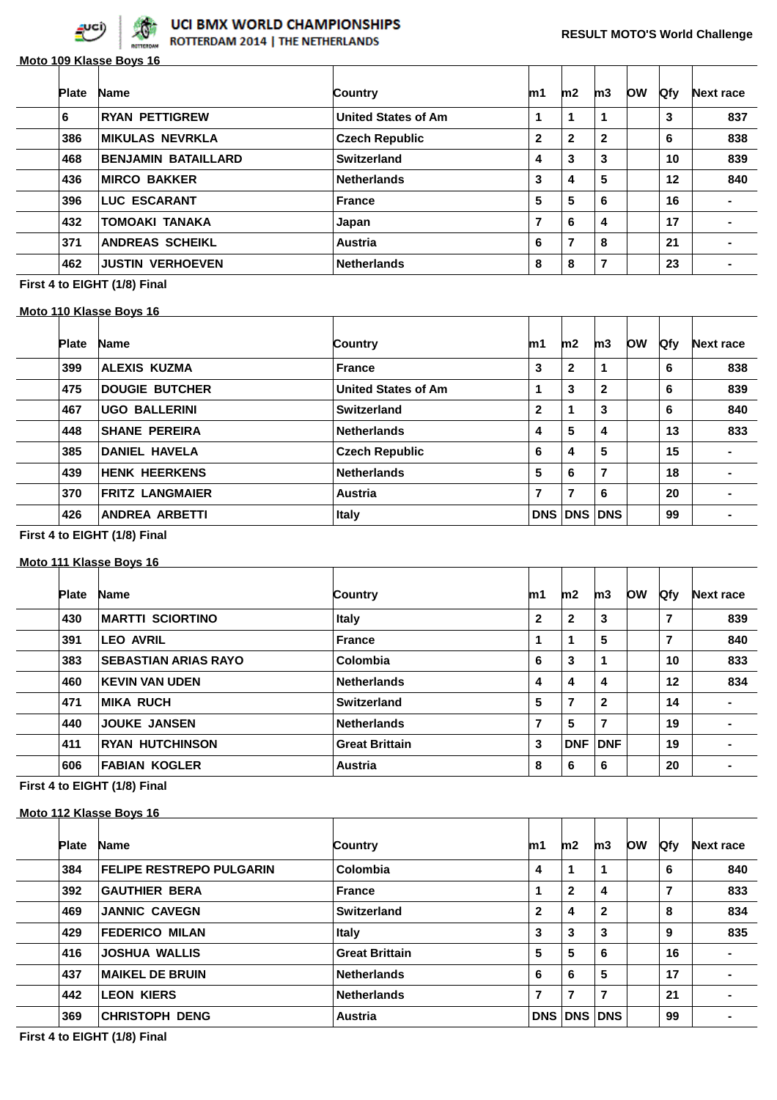

|              | Moto 109 Klasse Boys 16    |                            |              |              |              |           |     |                  |
|--------------|----------------------------|----------------------------|--------------|--------------|--------------|-----------|-----|------------------|
| <b>Plate</b> | <b>Name</b>                | Country                    | m1           | m2           | m3           | <b>OW</b> | Qfy | <b>Next race</b> |
| 6            | <b>RYAN PETTIGREW</b>      | <b>United States of Am</b> | 1            | 1            | 1            |           | 3   | 837              |
| 386          | <b>MIKULAS NEVRKLA</b>     | <b>Czech Republic</b>      | $\mathbf{2}$ | $\mathbf{2}$ | $\mathbf{2}$ |           | 6   | 838              |
| 468          | <b>BENJAMIN BATAILLARD</b> | Switzerland                | 4            | 3            | 3            |           | 10  | 839              |
| 436          | <b>MIRCO BAKKER</b>        | <b>Netherlands</b>         | 3            | 4            | 5            |           | 12  | 840              |
| 396          | <b>LUC ESCARANT</b>        | <b>France</b>              | 5            | 5            | 6            |           | 16  | $\blacksquare$   |
| 432          | <b>TOMOAKI TANAKA</b>      | Japan                      | 7            | 6            | 4            |           | 17  | ۰.               |
| 371          | <b>ANDREAS SCHEIKL</b>     | <b>Austria</b>             | 6            | 7            | 8            |           | 21  | ۰                |
| 462          | <b>JUSTIN VERHOEVEN</b>    | <b>Netherlands</b>         | 8            | 8            | 7            |           | 23  | $\blacksquare$   |

**First 4 to EIGHT (1/8) Final**

#### **Moto 110 Klasse Boys 16**

| <b>Plate</b> | <b>Name</b>            | Country                    | m1 | m2             | m3           | <b>OW</b> | <b>Qfy</b> | <b>Next race</b> |
|--------------|------------------------|----------------------------|----|----------------|--------------|-----------|------------|------------------|
| 399          | <b>ALEXIS KUZMA</b>    | <b>France</b>              | 3  | $\mathbf{2}$   | 1            |           | 6          | 838              |
| 475          | <b>DOUGIE BUTCHER</b>  | <b>United States of Am</b> |    | 3              | $\mathbf{2}$ |           | 6          | 839              |
| 467          | <b>UGO BALLERINI</b>   | Switzerland                | 2  | 1              | 3            |           | 6          | 840              |
| 448          | <b>SHANE PEREIRA</b>   | <b>Netherlands</b>         | 4  | 5              | 4            |           | 13         | 833              |
| 385          | <b>DANIEL HAVELA</b>   | <b>Czech Republic</b>      | 6  | 4              | 5            |           | 15         |                  |
| 439          | <b>HENK HEERKENS</b>   | <b>Netherlands</b>         | 5  | 6              | 7            |           | 18         |                  |
| 370          | <b>FRITZ LANGMAIER</b> | <b>Austria</b>             | 7  | 7              | 6            |           | 20         |                  |
| 426          | <b>ANDREA ARBETTI</b>  | <b>Italy</b>               |    | <b>DNS DNS</b> | <b>DNS</b>   |           | 99         |                  |

#### **First 4 to EIGHT (1/8) Final**

#### **Moto 111 Klasse Boys 16**

| <b>Plate</b> | <b>Name</b>                 | Country               | m1           | m2           | m3           | <b>OW</b> | <b>Qfy</b>     | <b>Next race</b> |
|--------------|-----------------------------|-----------------------|--------------|--------------|--------------|-----------|----------------|------------------|
| 430          | <b>MARTTI SCIORTINO</b>     | <b>Italy</b>          | $\mathbf{2}$ | $\mathbf{2}$ | 3            |           | $\overline{7}$ | 839              |
| 391          | <b>LEO AVRIL</b>            | <b>France</b>         | 1            |              | 5            |           | 7              | 840              |
| 383          | <b>SEBASTIAN ARIAS RAYO</b> | Colombia              | 6            | 3            | 1            |           | 10             | 833              |
| 460          | <b>KEVIN VAN UDEN</b>       | <b>Netherlands</b>    | 4            | 4            | 4            |           | 12             | 834              |
| 471          | <b>MIKA RUCH</b>            | Switzerland           | 5            | 7            | $\mathbf{2}$ |           | 14             | $\blacksquare$   |
| 440          | <b>JOUKE JANSEN</b>         | <b>Netherlands</b>    | 7            | 5            | 7            |           | 19             |                  |
| 411          | <b>RYAN HUTCHINSON</b>      | <b>Great Brittain</b> | 3            | <b>DNF</b>   | <b>DNF</b>   |           | 19             | ۰                |
| 606          | <b>FABIAN KOGLER</b>        | Austria               | 8            | 6            | 6            |           | 20             |                  |
|              |                             |                       |              |              |              |           |                |                  |

## **First 4 to EIGHT (1/8) Final**

#### **Moto 112 Klasse Boys 16**

| <b>Plate</b> | <b>Name</b>                     | Country               | m1           | m2           | m3             | <b>OW</b> | <b>Qfv</b> | Next race      |
|--------------|---------------------------------|-----------------------|--------------|--------------|----------------|-----------|------------|----------------|
| 384          | <b>FELIPE RESTREPO PULGARIN</b> | Colombia              | 4            | 1            | 1              |           | 6          | 840            |
| 392          | <b>GAUTHIER BERA</b>            | <b>France</b>         |              | $\mathbf{2}$ | 4              |           | 7          | 833            |
| 469          | <b>JANNIC CAVEGN</b>            | Switzerland           | $\mathbf{2}$ | 4            | $\mathbf{2}$   |           | 8          | 834            |
| 429          | <b>FEDERICO MILAN</b>           | <b>Italy</b>          | 3            | 3            | 3              |           | 9          | 835            |
| 416          | <b>JOSHUA WALLIS</b>            | <b>Great Brittain</b> | 5            | 5            | 6              |           | 16         | ۰              |
| 437          | <b>MAIKEL DE BRUIN</b>          | <b>Netherlands</b>    | 6            | 6            | 5              |           | 17         | $\blacksquare$ |
| 442          | <b>LEON KIERS</b>               | <b>Netherlands</b>    | 7            | 7            | $\overline{7}$ |           | 21         |                |
| 369          | <b>CHRISTOPH DENG</b>           | <b>Austria</b>        | <b>DNS</b>   | <b>DNS</b>   | <b>DNS</b>     |           | 99         |                |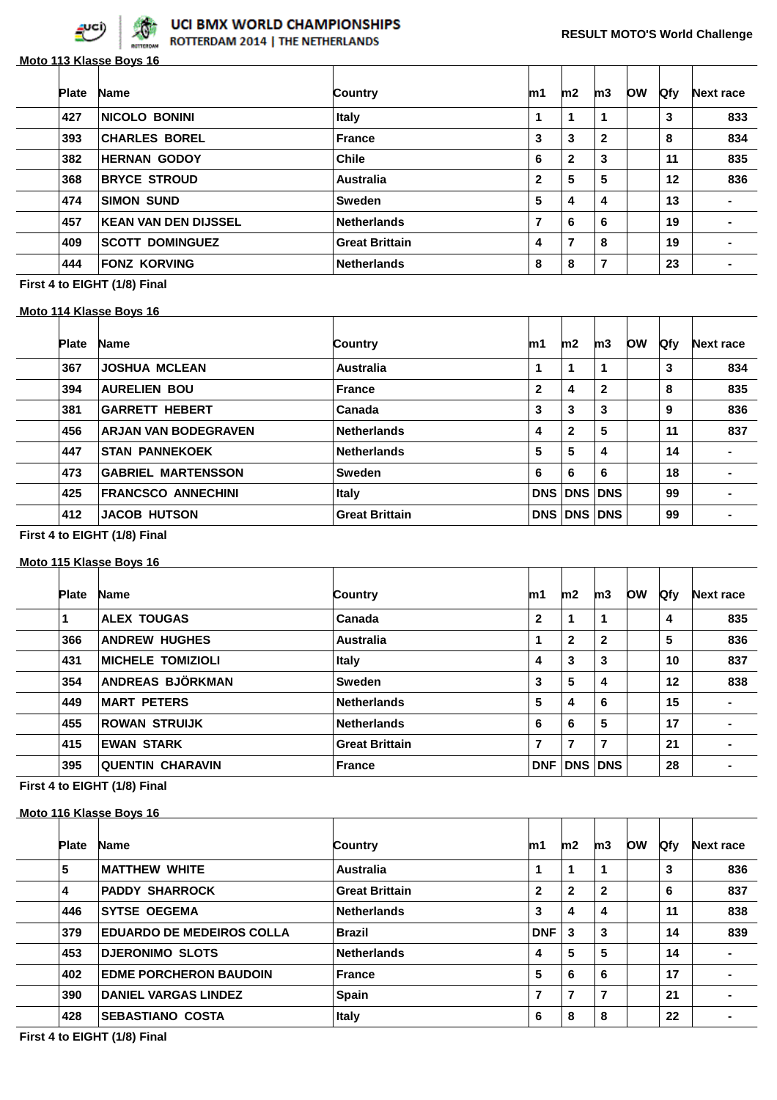

## **Moto 113 Klasse Boys 16**

| <b>Plate</b> | <b>Name</b>                 | Country               | m1             | m2           | m3           | <b>OW</b> | <b>Qfy</b> | <b>Next race</b> |
|--------------|-----------------------------|-----------------------|----------------|--------------|--------------|-----------|------------|------------------|
| 427          | <b>NICOLO BONINI</b>        | Italy                 |                | 1            | 1            |           | 3          | 833              |
| 393          | <b>CHARLES BOREL</b>        | <b>France</b>         | 3              | 3            | $\mathbf{2}$ |           | 8          | 834              |
| 382          | <b>HERNAN GODOY</b>         | <b>Chile</b>          | 6              | $\mathbf{2}$ | 3            |           | 11         | 835              |
| 368          | <b>BRYCE STROUD</b>         | Australia             | $\mathbf{2}$   | 5            | 5            |           | 12         | 836              |
| 474          | <b>SIMON SUND</b>           | <b>Sweden</b>         | 5              | 4            | 4            |           | 13         |                  |
| 457          | <b>KEAN VAN DEN DIJSSEL</b> | <b>Netherlands</b>    | $\overline{7}$ | 6            | 6            |           | 19         |                  |
| 409          | <b>SCOTT DOMINGUEZ</b>      | <b>Great Brittain</b> | 4              | 7            | 8            |           | 19         |                  |
| 444          | <b>FONZ KORVING</b>         | <b>Netherlands</b>    | 8              | 8            | 7            |           | 23         | $\blacksquare$   |

#### **First 4 to EIGHT (1/8) Final**

#### **Moto 114 Klasse Boys 16**

| <b>Plate</b> | <b>Name</b>                 | Country               | m1           | m2           | m3           | <b>OW</b> | Qfy | <b>Next race</b> |
|--------------|-----------------------------|-----------------------|--------------|--------------|--------------|-----------|-----|------------------|
| 367          | <b>JOSHUA MCLEAN</b>        | Australia             | 1            | 1            | 1            |           | 3   | 834              |
| 394          | <b>AURELIEN BOU</b>         | France                | $\mathbf{2}$ | 4            | $\mathbf{2}$ |           | 8   | 835              |
| 381          | <b>GARRETT HEBERT</b>       | Canada                | 3            | 3            | 3            |           | 9   | 836              |
| 456          | <b>ARJAN VAN BODEGRAVEN</b> | <b>Netherlands</b>    | 4            | $\mathbf{2}$ | 5            |           | 11  | 837              |
| 447          | <b>STAN PANNEKOEK</b>       | <b>Netherlands</b>    | 5            | 5            | 4            |           | 14  | $\blacksquare$   |
| 473          | <b>GABRIEL MARTENSSON</b>   | <b>Sweden</b>         | 6            | 6            | 6            |           | 18  | $\blacksquare$   |
| 425          | <b>FRANCSCO ANNECHINI</b>   | <b>Italy</b>          | DNS          | <b>DNS</b>   | <b>DNS</b>   |           | 99  |                  |
| 412          | <b>JACOB HUTSON</b>         | <b>Great Brittain</b> | DNS          | <b>DNS</b>   | <b>DNS</b>   |           | 99  |                  |
|              |                             |                       |              |              |              |           |     |                  |

#### **First 4 to EIGHT (1/8) Final**

#### **Moto 115 Klasse Boys 16**

| <b>Plate</b> | <b>Name</b>              | Country               | m1           | m2             | m3             | <b>OW</b> | <b>Qfy</b> | <b>Next race</b> |
|--------------|--------------------------|-----------------------|--------------|----------------|----------------|-----------|------------|------------------|
|              | <b>ALEX TOUGAS</b>       | Canada                | $\mathbf{2}$ | 1              | 1              |           | 4          | 835              |
| 366          | <b>ANDREW HUGHES</b>     | Australia             |              | $\mathbf{2}$   | $\mathbf{2}$   |           | 5          | 836              |
| 431          | <b>MICHELE TOMIZIOLI</b> | <b>Italy</b>          | 4            | 3              | 3              |           | 10         | 837              |
| 354          | ANDREAS BJÖRKMAN         | <b>Sweden</b>         | 3            | 5              | 4              |           | 12         | 838              |
| 449          | <b>MART PETERS</b>       | <b>Netherlands</b>    | 5            | 4              | 6              |           | 15         | $\blacksquare$   |
| 455          | <b>ROWAN STRUIJK</b>     | <b>Netherlands</b>    | 6            | 6              | 5              |           | 17         |                  |
| 415          | <b>EWAN STARK</b>        | <b>Great Brittain</b> | 7            | 7              | $\overline{7}$ |           | 21         |                  |
| 395          | <b>QUENTIN CHARAVIN</b>  | <b>France</b>         | <b>DNF</b>   | <b>DNS DNS</b> |                |           | 28         |                  |
|              |                          |                       |              |                |                |           |            |                  |

## **First 4 to EIGHT (1/8) Final**

#### **Moto 116 Klasse Boys 16**

| <b>Plate</b> | <b>Name</b>                      | Country               | m1           | m2           | m3           | <b>OW</b> | <b>Qfy</b> | Next race      |
|--------------|----------------------------------|-----------------------|--------------|--------------|--------------|-----------|------------|----------------|
| 5            | <b>MATTHEW WHITE</b>             | Australia             | 1            |              | 1            |           | 3          | 836            |
| 4            | <b>PADDY SHARROCK</b>            | <b>Great Brittain</b> | $\mathbf{2}$ | $\mathbf{2}$ | $\mathbf{2}$ |           | 6          | 837            |
| 446          | <b>SYTSE OEGEMA</b>              | <b>Netherlands</b>    | 3            | 4            | 4            |           | 11         | 838            |
| 379          | <b>EDUARDO DE MEDEIROS COLLA</b> | <b>Brazil</b>         | <b>DNF</b>   | 3            | 3            |           | 14         | 839            |
| 453          | <b>DJERONIMO SLOTS</b>           | <b>Netherlands</b>    | 4            | 5            | 5            |           | 14         | $\blacksquare$ |
| 402          | <b>EDME PORCHERON BAUDOIN</b>    | <b>France</b>         | 5            | 6            | 6            |           | 17         | $\blacksquare$ |
| 390          | <b>DANIEL VARGAS LINDEZ</b>      | Spain                 | 7            | 7            | 7            |           | 21         |                |
| 428          | <b>SEBASTIANO COSTA</b>          | <b>Italy</b>          | 6            | 8            | 8            |           | 22         |                |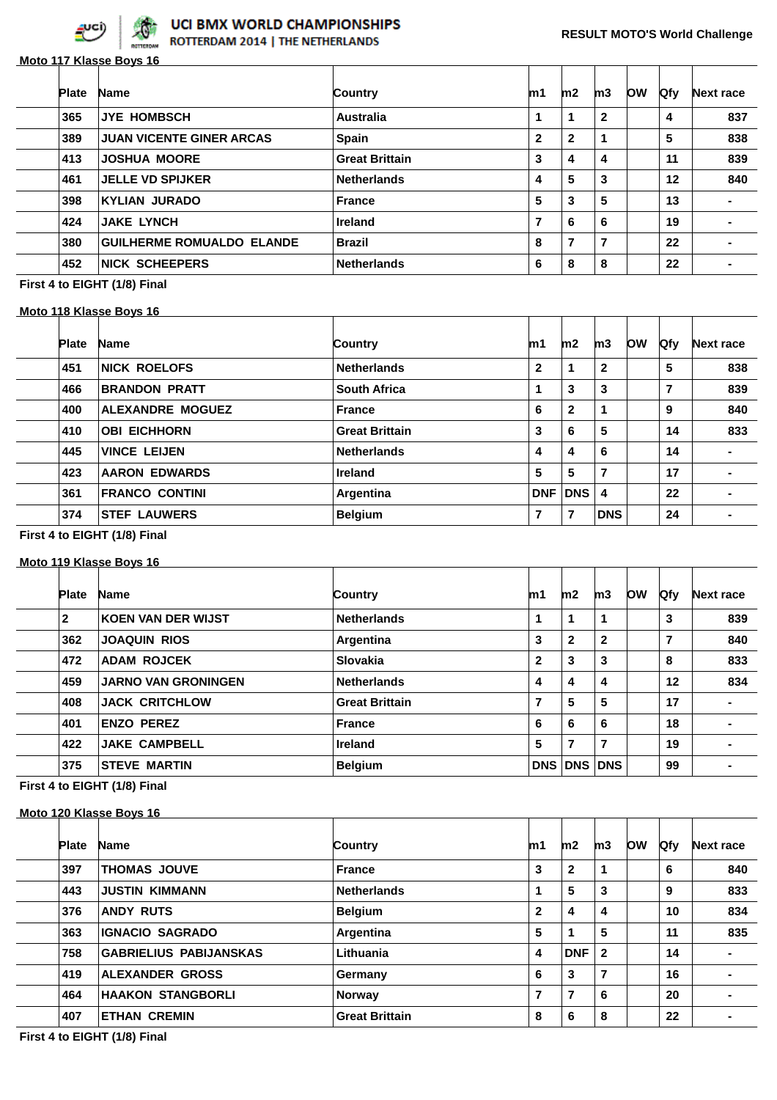

## **Moto 117 Klasse Boys 16**

| <b>Plate</b> | <b>Name</b>                      | <b>Country</b>        | m1                      | m2           | m3           | <b>OW</b> | Qfy | <b>Next race</b> |
|--------------|----------------------------------|-----------------------|-------------------------|--------------|--------------|-----------|-----|------------------|
| 365          | <b>JYE HOMBSCH</b>               | Australia             |                         |              | $\mathbf{2}$ |           | 4   | 837              |
| 389          | <b>JUAN VICENTE GINER ARCAS</b>  | <b>Spain</b>          | $\mathbf{2}$            | $\mathbf{2}$ |              |           | 5   | 838              |
| 413          | <b>JOSHUA MOORE</b>              | <b>Great Brittain</b> | 3                       | 4            | 4            |           | 11  | 839              |
| 461          | <b>JELLE VD SPIJKER</b>          | <b>Netherlands</b>    | 4                       | 5            | 3            |           | 12  | 840              |
| 398          | <b>KYLIAN JURADO</b>             | France                | 5                       | 3            | 5            |           | 13  | $\blacksquare$   |
| 424          | <b>JAKE LYNCH</b>                | <b>Ireland</b>        | $\overline{\mathbf{z}}$ | 6            | 6            |           | 19  | -                |
| 380          | <b>GUILHERME ROMUALDO ELANDE</b> | <b>Brazil</b>         | 8                       | 7            | 7            |           | 22  |                  |
| 452          | <b>NICK SCHEEPERS</b>            | <b>Netherlands</b>    | 6                       | 8            | 8            |           | 22  |                  |

## **First 4 to EIGHT (1/8) Final**

#### **Moto 118 Klasse Boys 16**

| <b>Plate</b> | <b>Name</b>             | Country               | m1           | m2           | m3           | <b>OW</b> | Qfy            | <b>Next race</b> |
|--------------|-------------------------|-----------------------|--------------|--------------|--------------|-----------|----------------|------------------|
| 451          | <b>NICK ROELOFS</b>     | <b>Netherlands</b>    | $\mathbf{2}$ | 1            | $\mathbf{2}$ |           | 5              | 838              |
| 466          | <b>BRANDON PRATT</b>    | <b>South Africa</b>   |              | 3            | 3            |           | $\overline{7}$ | 839              |
| 400          | <b>ALEXANDRE MOGUEZ</b> | <b>France</b>         | 6            | $\mathbf{2}$ | 1            |           | 9              | 840              |
| 410          | <b>OBI EICHHORN</b>     | <b>Great Brittain</b> | 3            | 6            | 5            |           | 14             | 833              |
| 445          | <b>VINCE LEIJEN</b>     | <b>Netherlands</b>    | 4            | 4            | 6            |           | 14             |                  |
| 423          | <b>AARON EDWARDS</b>    | <b>Ireland</b>        | 5            | 5            | 7            |           | 17             | $\blacksquare$   |
| 361          | <b>FRANCO CONTINI</b>   | Argentina             | <b>DNF</b>   | <b>DNS</b>   | 4            |           | 22             |                  |
| 374          | <b>STEF LAUWERS</b>     | <b>Belgium</b>        | 7            | 7            | <b>DNS</b>   |           | 24             | -                |

#### **First 4 to EIGHT (1/8) Final**

#### **Moto 119 Klasse Boys 16**

| <b>Plate</b> | <b>Name</b>                | Country               | m1           | m2                      | m3           | <b>Ofy</b>                | <b>Next race</b> |
|--------------|----------------------------|-----------------------|--------------|-------------------------|--------------|---------------------------|------------------|
| $\mathbf{2}$ | <b>KOEN VAN DER WIJST</b>  | <b>Netherlands</b>    | 1            |                         |              | 3                         | 839              |
| 362          | <b>JOAQUIN RIOS</b>        | Argentina             | 3            | $\mathbf{2}$            | $\mathbf{2}$ | 7                         | 840              |
| 472          | <b>ADAM ROJCEK</b>         | <b>Slovakia</b>       | $\mathbf{2}$ | 3                       | 3            | 8                         | 833              |
| 459          | <b>JARNO VAN GRONINGEN</b> | <b>Netherlands</b>    | 4            | $\overline{\mathbf{4}}$ | 4            | 12                        | 834              |
| 408          | <b>JACK CRITCHLOW</b>      | <b>Great Brittain</b> | 7            | 5                       | 5            | 17                        | $\blacksquare$   |
| 401          | <b>ENZO PEREZ</b>          | <b>France</b>         | 6            | 6                       | 6            | 18                        |                  |
| 422          | <b>JAKE CAMPBELL</b>       | <b>Ireland</b>        | 5            | 7                       | 7            | 19                        | $\blacksquare$   |
| 375          | <b>STEVE MARTIN</b>        | <b>Belgium</b>        |              |                         |              | 99                        |                  |
|              |                            |                       |              |                         |              | <b>low</b><br>DNS DNS DNS |                  |

## **First 4 to EIGHT (1/8) Final**

#### **Moto 120 Klasse Boys 16**

| <b>Plate</b> | <b>Name</b>                   | Country               | m1           | m2           | m3                      | <b>OW</b> | <b>Qfy</b> | Next race      |
|--------------|-------------------------------|-----------------------|--------------|--------------|-------------------------|-----------|------------|----------------|
| 397          | <b>THOMAS JOUVE</b>           | <b>France</b>         | 3            | $\mathbf{2}$ | 1                       |           | 6          | 840            |
| 443          | <b>JUSTIN KIMMANN</b>         | <b>Netherlands</b>    |              | 5            | 3                       |           | 9          | 833            |
| 376          | <b>ANDY RUTS</b>              | <b>Belgium</b>        | $\mathbf{2}$ | 4            | 4                       |           | 10         | 834            |
| 363          | <b>IGNACIO SAGRADO</b>        | Argentina             | 5            |              | 5                       |           | 11         | 835            |
| 758          | <b>GABRIELIUS PABIJANSKAS</b> | Lithuania             | 4            | <b>DNF</b>   | $\overline{\mathbf{2}}$ |           | 14         |                |
| 419          | ALEXANDER GROSS               | Germany               | 6            | 3            | 7                       |           | 16         | $\blacksquare$ |
| 464          | <b>HAAKON STANGBORLI</b>      | <b>Norway</b>         | 7            | 7            | 6                       |           | 20         |                |
| 407          | <b>ETHAN CREMIN</b>           | <b>Great Brittain</b> | 8            | 6            | 8                       |           | 22         |                |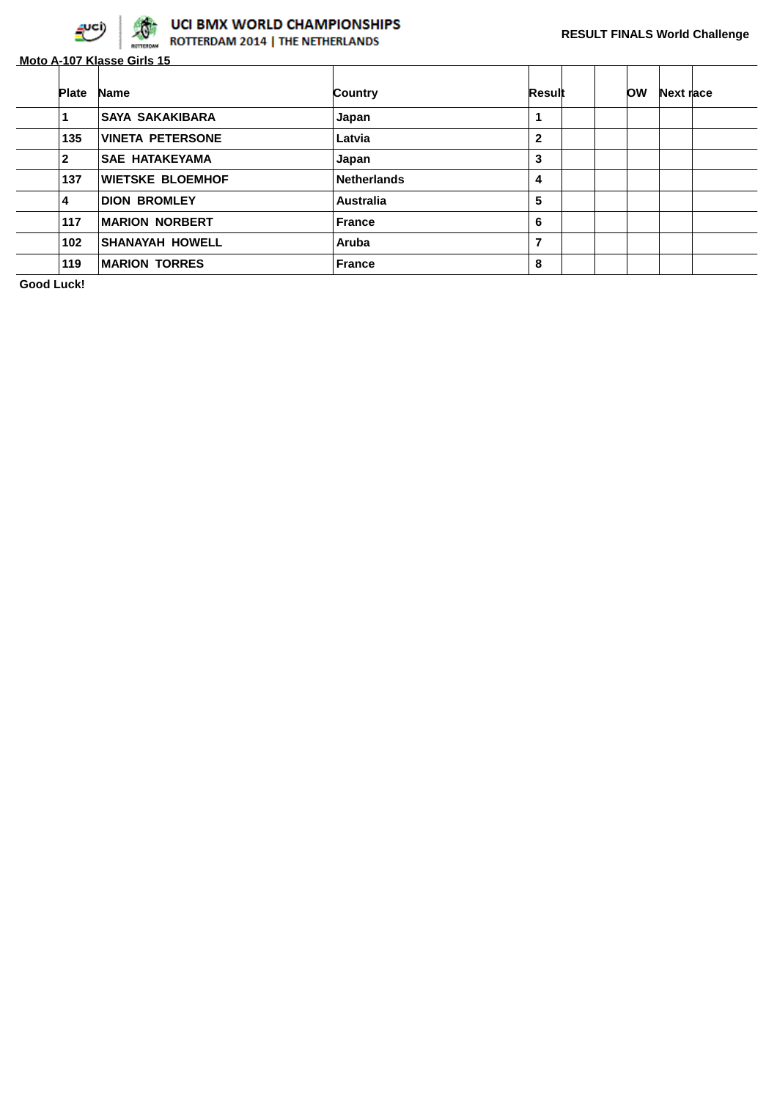

# **UCI BMX WORLD CHAMPIONSHIPS**<br>**ROTTERDAM 2014 | THE NETHERLANDS**

**Moto A-107 Klasse Girls 15**

| <b>Plate</b> | <b>Name</b>             | Country            | Result       | <b>OW</b> | Next race |  |
|--------------|-------------------------|--------------------|--------------|-----------|-----------|--|
|              | <b>SAYA SAKAKIBARA</b>  | Japan              | 1            |           |           |  |
| 135          | <b>VINETA PETERSONE</b> | Latvia             | $\mathbf{2}$ |           |           |  |
| 2            | <b>SAE HATAKEYAMA</b>   | Japan              | 3            |           |           |  |
| 137          | <b>WIETSKE BLOEMHOF</b> | <b>Netherlands</b> | 4            |           |           |  |
| 4            | <b>DION BROMLEY</b>     | <b>Australia</b>   | 5            |           |           |  |
| 117          | <b>MARION NORBERT</b>   | <b>France</b>      | 6            |           |           |  |
| 102          | <b>SHANAYAH HOWELL</b>  | Aruba              | 7            |           |           |  |
| 119          | <b>MARION TORRES</b>    | <b>France</b>      | 8            |           |           |  |

**Good Luck!**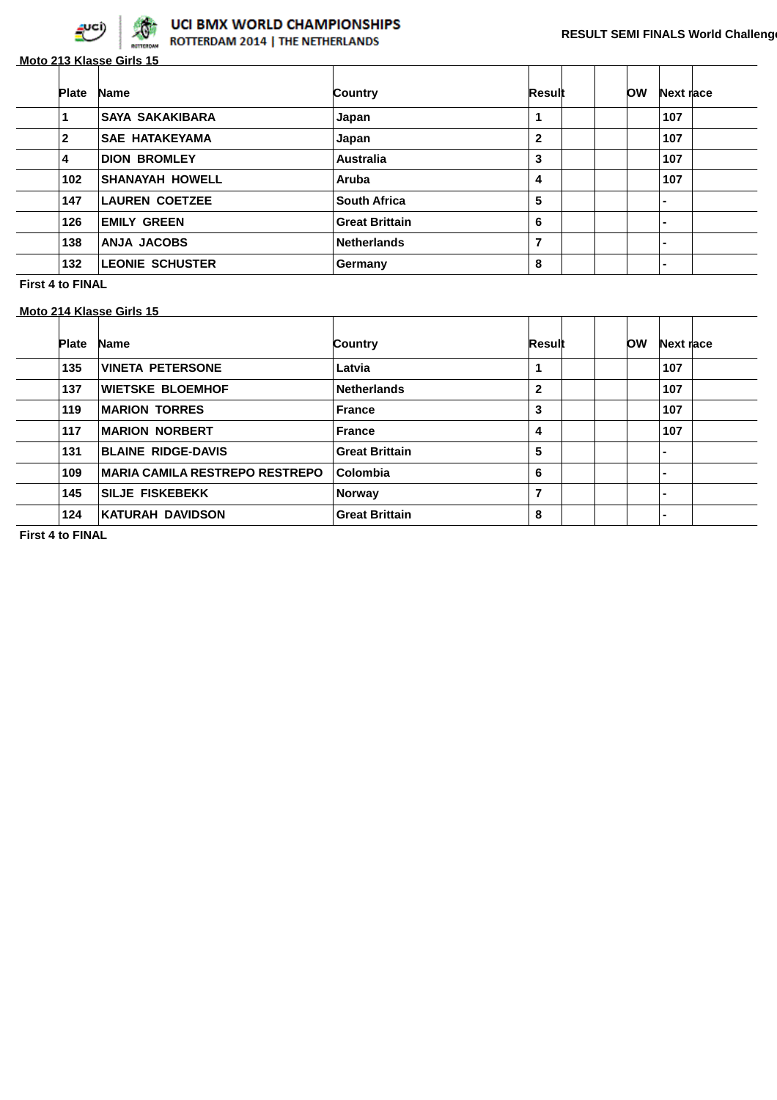

**Moto 213 Klasse Girls 15**

| <b>Plate</b> | <b>Name</b>            | Country               | Result       | ЮW | Next race                |  |
|--------------|------------------------|-----------------------|--------------|----|--------------------------|--|
|              | <b>SAYA SAKAKIBARA</b> | Japan                 |              |    | 107                      |  |
| 2            | <b>SAE HATAKEYAMA</b>  | Japan                 | $\mathbf{2}$ |    | 107                      |  |
| 4            | <b>DION BROMLEY</b>    | <b>Australia</b>      | 3            |    | 107                      |  |
| 102          | <b>SHANAYAH HOWELL</b> | Aruba                 | 4            |    | 107                      |  |
| 147          | <b>LAUREN COETZEE</b>  | <b>South Africa</b>   | 5            |    | $\blacksquare$           |  |
| 126          | <b>EMILY GREEN</b>     | <b>Great Brittain</b> | 6            |    | $\blacksquare$           |  |
| 138          | <b>ANJA JACOBS</b>     | <b>Netherlands</b>    | ⇁            |    | $\overline{\phantom{0}}$ |  |
| 132          | <b>LEONIE SCHUSTER</b> | Germany               | 8            |    | $\blacksquare$           |  |

**First 4 to FINAL**

**Moto 214 Klasse Girls 15**

| <b>Plate</b> | <b>Name</b>                           | Country               | Result       | <b>OW</b> | Next race |  |
|--------------|---------------------------------------|-----------------------|--------------|-----------|-----------|--|
| 135          | <b>VINETA PETERSONE</b>               | Latvia                | 1            |           | 107       |  |
| 137          | <b>WIETSKE BLOEMHOF</b>               | <b>Netherlands</b>    | $\mathbf{2}$ |           | 107       |  |
| 119          | <b>MARION TORRES</b>                  | <b>France</b>         | 3            |           | 107       |  |
| 117          | <b>MARION NORBERT</b>                 | <b>France</b>         | 4            |           | 107       |  |
| 131          | <b>BLAINE RIDGE-DAVIS</b>             | <b>Great Brittain</b> | 5            |           |           |  |
| 109          | <b>MARIA CAMILA RESTREPO RESTREPO</b> | Colombia              | 6            |           |           |  |
| 145          | <b>SILJE FISKEBEKK</b>                | <b>Norway</b>         | 7            |           |           |  |
| 124          | KATURAH DAVIDSON                      | <b>Great Brittain</b> | 8            |           |           |  |

**First 4 to FINAL**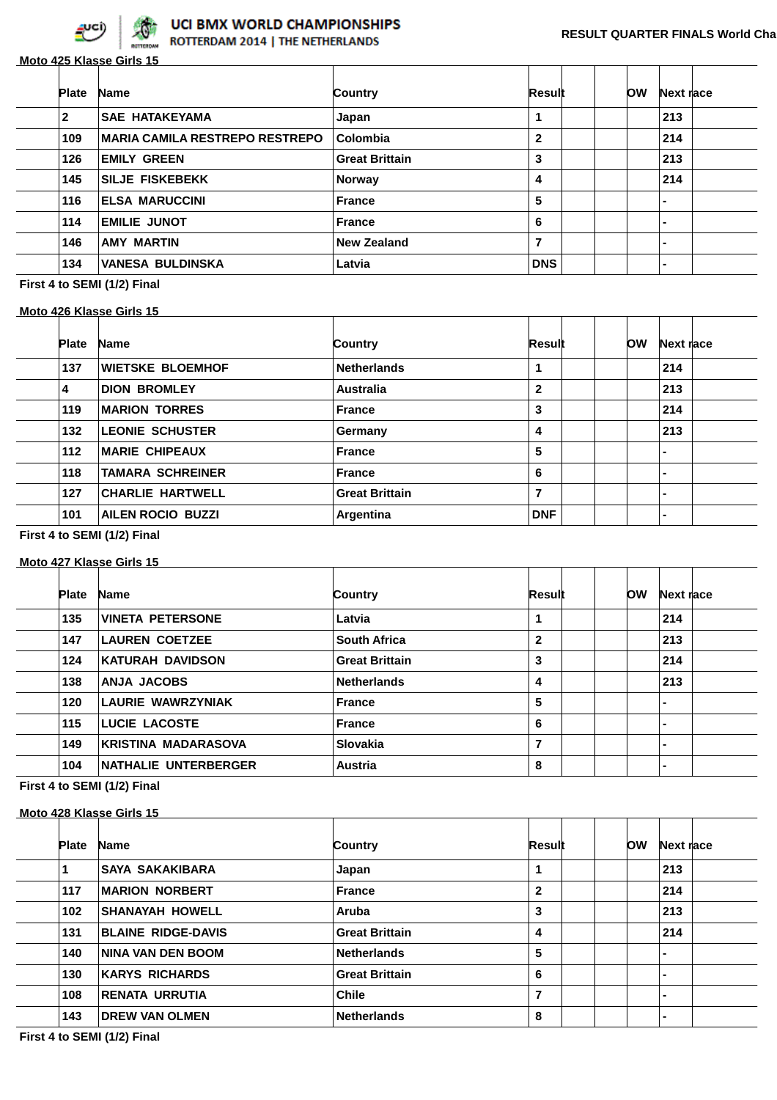

## UCI BMX WORLD CHAMPIONSHIPS

**Moto 425 Klasse Girls 15 Plate Name Country Result OW Next race SAE HATAKEYAMA Japan 1 1 1 213** 109 | MARIA CAMILA RESTREPO RESTREPO | Colombia 2 2 | 214 **EMILY GREEN Great Brittain 126 3** 1 213 145 SILJE FISKEBEKK **Norway 14 4 214 ELSA MARUCCINI France 5 - EMILIE JUNOT France 6 - AMY MARTIN New Zealand 7 - VANESA BULDINSKA Latvia DNS -**

**First 4 to SEMI (1/2) Final**

#### **Moto 426 Klasse Girls 15**

| <b>Plate</b> | <b>Name</b>              | Country               | Result     | OW | Next race      |  |
|--------------|--------------------------|-----------------------|------------|----|----------------|--|
| 137          | <b>WIETSKE BLOEMHOF</b>  | <b>Netherlands</b>    |            |    | 214            |  |
| 4            | <b>DION BROMLEY</b>      | <b>Australia</b>      | 2          |    | 213            |  |
| 119          | <b>MARION TORRES</b>     | <b>France</b>         | 3          |    | 214            |  |
| 132          | <b>LEONIE SCHUSTER</b>   | Germany               | 4          |    | 213            |  |
| 112          | <b>MARIE CHIPEAUX</b>    | <b>France</b>         | 5          |    | $\blacksquare$ |  |
| 118          | <b>TAMARA SCHREINER</b>  | <b>France</b>         | 6          |    | $\blacksquare$ |  |
| 127          | <b>CHARLIE HARTWELL</b>  | <b>Great Brittain</b> | 7          |    | $\blacksquare$ |  |
| 101          | <b>AILEN ROCIO BUZZI</b> | Argentina             | <b>DNF</b> |    | $\blacksquare$ |  |

#### **First 4 to SEMI (1/2) Final**

#### **Moto 427 Klasse Girls 15**

| <b>Plate</b> | <b>Name</b>                | Country               | Result       | <b>OW</b> | Next race      |
|--------------|----------------------------|-----------------------|--------------|-----------|----------------|
| 135          | <b>VINETA PETERSONE</b>    | Latvia                | 1            |           | 214            |
| 147          | <b>LAUREN COETZEE</b>      | <b>South Africa</b>   | $\mathbf{2}$ |           | 213            |
| 124          | <b>KATURAH DAVIDSON</b>    | <b>Great Brittain</b> | 3            |           | 214            |
| 138          | <b>ANJA JACOBS</b>         | <b>Netherlands</b>    | 4            |           | 213            |
| 120          | <b>LAURIE WAWRZYNIAK</b>   | <b>France</b>         | 5            |           | -              |
| 115          | <b>LUCIE LACOSTE</b>       | <b>France</b>         | 6            |           | ۰.             |
| 149          | <b>KRISTINA MADARASOVA</b> | Slovakia              | 7            |           | $\blacksquare$ |
| 104          | NATHALIE UNTERBERGER       | <b>Austria</b>        | 8            |           |                |

#### **First 4 to SEMI (1/2) Final**

#### **Moto 428 Klasse Girls 15**

| <b>Plate</b> | <b>Name</b>               | Country               | Result       | ЮW | Next race      |  |
|--------------|---------------------------|-----------------------|--------------|----|----------------|--|
|              | <b>SAYA SAKAKIBARA</b>    | Japan                 |              |    | 213            |  |
| 117          | <b>MARION NORBERT</b>     | <b>France</b>         | $\mathbf{2}$ |    | 214            |  |
| 102          | <b>SHANAYAH HOWELL</b>    | Aruba                 | 3            |    | 213            |  |
| 131          | <b>BLAINE RIDGE-DAVIS</b> | <b>Great Brittain</b> | 4            |    | 214            |  |
| 140          | <b>NINA VAN DEN BOOM</b>  | <b>Netherlands</b>    | 5            |    | $\blacksquare$ |  |
| 130          | <b>KARYS RICHARDS</b>     | <b>Great Brittain</b> | 6            |    | $\blacksquare$ |  |
| 108          | <b>RENATA URRUTIA</b>     | <b>Chile</b>          | 7            |    | $\blacksquare$ |  |
| 143          | <b>DREW VAN OLMEN</b>     | <b>Netherlands</b>    | 8            |    | $\blacksquare$ |  |
|              |                           |                       |              |    |                |  |

**First 4 to SEMI (1/2) Final**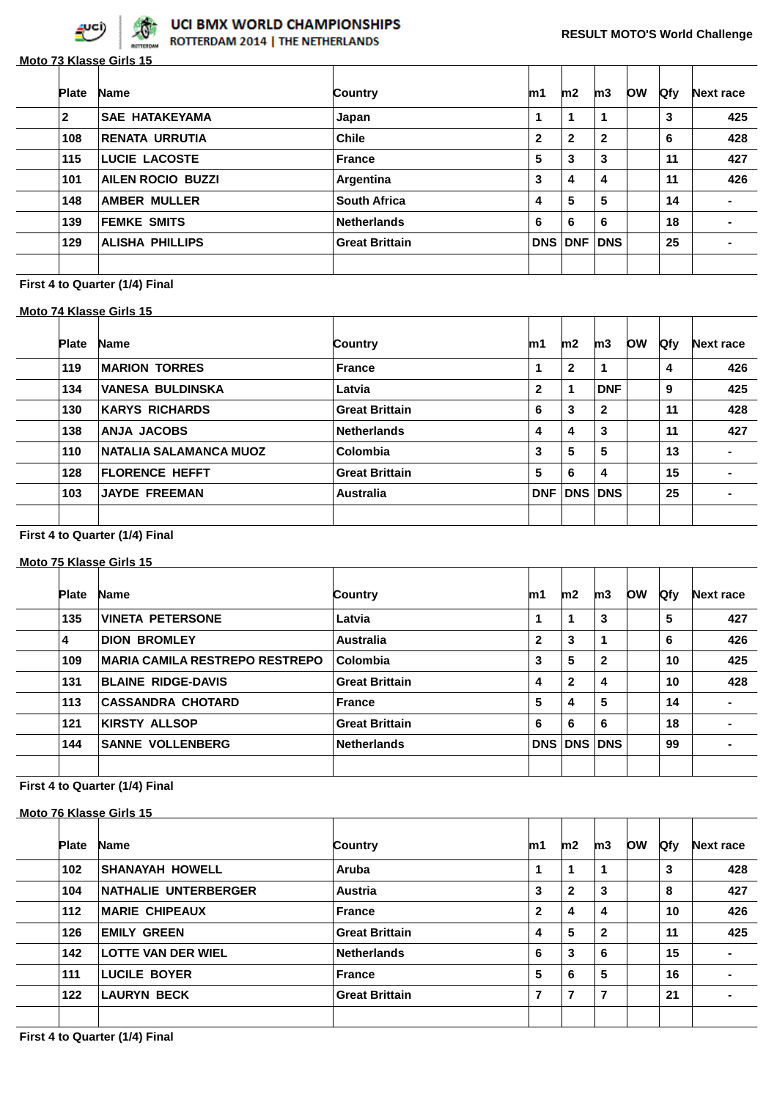

**Moto 73 Klasse Girls 15**

|                     | 1<br>$\mathbf{2}$     | 1            | 1              |            |     |
|---------------------|-----------------------|--------------|----------------|------------|-----|
|                     |                       |              |                | 3          | 425 |
|                     |                       | $\mathbf{2}$ | $\mathbf{2}$   | 6          | 428 |
|                     | 5                     | 3            | 3              | 11         | 427 |
| Argentina           | 3                     | 4            | 4              | 11         | 426 |
| <b>South Africa</b> | 4                     | 5            | 5              | 14         |     |
| <b>Netherlands</b>  | 6                     | 6            | 6              | 18         |     |
|                     |                       |              |                | 25         |     |
|                     | <b>Great Brittain</b> |              | <b>DNS DNF</b> | <b>DNS</b> |     |

## **First 4 to Quarter (1/4) Final**

#### **Moto 74 Klasse Girls 15**

| <b>Plate</b> | <b>Name</b>                   | Country               | m1           | m2           | m3           | <b>OW</b> | <b>Qfy</b> | <b>Next race</b> |
|--------------|-------------------------------|-----------------------|--------------|--------------|--------------|-----------|------------|------------------|
| 119          | <b>MARION TORRES</b>          | <b>France</b>         |              | $\mathbf{2}$ | 1            |           | 4          | 426              |
| 134          | <b>VANESA BULDINSKA</b>       | Latvia                | $\mathbf{2}$ | 1            | <b>DNF</b>   |           | 9          | 425              |
| 130          | <b>KARYS RICHARDS</b>         | <b>Great Brittain</b> | 6            | 3            | $\mathbf{2}$ |           | 11         | 428              |
| 138          | <b>ANJA JACOBS</b>            | <b>Netherlands</b>    | 4            | 4            | 3            |           | 11         | 427              |
| 110          | <b>NATALIA SALAMANCA MUOZ</b> | Colombia              | 3            | 5            | 5            |           | 13         |                  |
| 128          | <b>FLORENCE HEFFT</b>         | <b>Great Brittain</b> | 5            | 6            | 4            |           | 15         |                  |
| 103          | <b>JAYDE FREEMAN</b>          | <b>Australia</b>      |              | DNF DNS DNS  |              |           | 25         |                  |
|              |                               |                       |              |              |              |           |            |                  |

#### **First 4 to Quarter (1/4) Final**

#### **Moto 75 Klasse Girls 15**

| <b>Plate</b> | <b>Name</b>                           | Country               | m1           | m2             | m3           | <b>OW</b> | <b>Qfy</b> | Next race      |
|--------------|---------------------------------------|-----------------------|--------------|----------------|--------------|-----------|------------|----------------|
| 135          | <b>VINETA PETERSONE</b>               | Latvia                | 1            | 1              | 3            |           | 5          | 427            |
| 4            | <b>DION BROMLEY</b>                   | <b>Australia</b>      | $\mathbf{2}$ | 3              | $\mathbf 1$  |           | 6          | 426            |
| 109          | <b>MARIA CAMILA RESTREPO RESTREPO</b> | Colombia              | 3            | 5              | $\mathbf{2}$ |           | 10         | 425            |
| 131          | <b>BLAINE RIDGE-DAVIS</b>             | <b>Great Brittain</b> | 4            | $\mathbf{2}$   | 4            |           | 10         | 428            |
| 113          | <b>CASSANDRA CHOTARD</b>              | <b>France</b>         | 5            | 4              | 5            |           | 14         | $\blacksquare$ |
| 121          | <b>KIRSTY ALLSOP</b>                  | <b>Great Brittain</b> | 6            | 6              | 6            |           | 18         |                |
| 144          | <b>SANNE VOLLENBERG</b>               | <b>Netherlands</b>    |              | <b>DNS DNS</b> | <b>DNS</b>   |           | 99         |                |
|              |                                       |                       |              |                |              |           |            |                |

## **First 4 to Quarter (1/4) Final**

#### **Moto 76 Klasse Girls 15**

| <b>Plate</b> | <b>Name</b>                 | Country               | m1           | m2           | m3           | <b>low</b> | <b>Ofy</b> | Next race |
|--------------|-----------------------------|-----------------------|--------------|--------------|--------------|------------|------------|-----------|
| 102          | <b>SHANAYAH HOWELL</b>      | Aruba                 | 1            |              |              |            | 3          | 428       |
| 104          | <b>NATHALIE UNTERBERGER</b> | Austria               | 3            | $\mathbf{2}$ | 3            |            | 8          | 427       |
| $112$        | <b>MARIE CHIPEAUX</b>       | <b>France</b>         | $\mathbf{2}$ | 4            | 4            |            | 10         | 426       |
| 126          | <b>EMILY GREEN</b>          | <b>Great Brittain</b> | 4            | 5            | $\mathbf{2}$ |            | 11         | 425       |
| 142          | <b>LOTTE VAN DER WIEL</b>   | <b>Netherlands</b>    | 6            | 3            | 6            |            | 15         |           |
| 111          | <b>LUCILE BOYER</b>         | <b>France</b>         | 5            | 6            | 5            |            | 16         |           |
| 122          | LAURYN BECK                 | <b>Great Brittain</b> | 7            | 7            | 7            |            | 21         |           |
|              |                             |                       |              |              |              |            |            |           |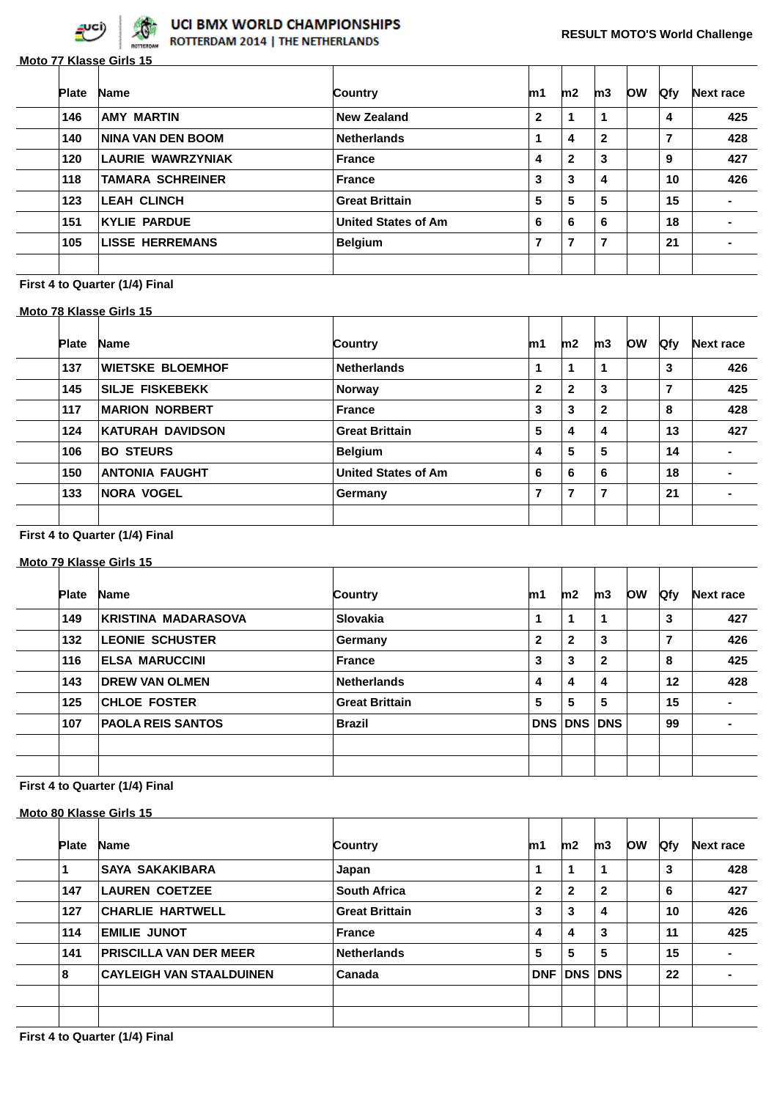

**Moto 77 Klasse Girls 15**

| <b>Plate</b> | <b>Name</b>              | Country                    | m1           | m2           | m3             | <b>OW</b> | <b>Qfy</b>     | <b>Next race</b> |
|--------------|--------------------------|----------------------------|--------------|--------------|----------------|-----------|----------------|------------------|
| 146          | <b>AMY MARTIN</b>        | <b>New Zealand</b>         | $\mathbf{2}$ | 1            | 1              |           | 4              | 425              |
| 140          | <b>NINA VAN DEN BOOM</b> | <b>Netherlands</b>         | 1            | 4            | $\mathbf{2}$   |           | $\overline{7}$ | 428              |
| 120          | <b>LAURIE WAWRZYNIAK</b> | France                     | 4            | $\mathbf{2}$ | 3              |           | 9              | 427              |
| 118          | <b>TAMARA SCHREINER</b>  | France                     | 3            | 3            | 4              |           | 10             | 426              |
| 123          | <b>LEAH CLINCH</b>       | <b>Great Brittain</b>      | 5            | 5            | 5              |           | 15             |                  |
| 151          | <b>KYLIE PARDUE</b>      | <b>United States of Am</b> | 6            | 6            | 6              |           | 18             | $\blacksquare$   |
| 105          | <b>LISSE HERREMANS</b>   | <b>Belgium</b>             | 7            | 7            | $\overline{7}$ |           | 21             | -                |

## **First 4 to Quarter (1/4) Final**

## **Moto 78 Klasse Girls 15**

| <b>Plate</b> | <b>Name</b>             | Country                    | m1           | m2           | m3           | <b>OW</b> | <b>Qfy</b> | <b>Next race</b> |
|--------------|-------------------------|----------------------------|--------------|--------------|--------------|-----------|------------|------------------|
| 137          | <b>WIETSKE BLOEMHOF</b> | <b>Netherlands</b>         |              |              | 1            |           | 3          | 426              |
| 145          | <b>SILJE FISKEBEKK</b>  | <b>Norway</b>              | $\mathbf{2}$ | $\mathbf{2}$ | 3            |           | 7          | 425              |
| 117          | <b>MARION NORBERT</b>   | <b>France</b>              | 3            | 3            | $\mathbf{2}$ |           | 8          | 428              |
| 124          | <b>KATURAH DAVIDSON</b> | <b>Great Brittain</b>      | 5            | 4            | 4            |           | 13         | 427              |
| 106          | <b>BO STEURS</b>        | <b>Belgium</b>             | 4            | 5            | 5            |           | 14         |                  |
| 150          | <b>ANTONIA FAUGHT</b>   | <b>United States of Am</b> | 6            | 6            | 6            |           | 18         |                  |
| 133          | <b>NORA VOGEL</b>       | Germany                    | 7            | 7            | 7            |           | 21         |                  |
|              |                         |                            |              |              |              |           |            |                  |

#### **First 4 to Quarter (1/4) Final**

#### **Moto 79 Klasse Girls 15**

| <b>Plate</b> | <b>Name</b>                | Country               | m1           | m2           | m3           | <b>OW</b> | <b>Ofy</b> | <b>Next race</b> |
|--------------|----------------------------|-----------------------|--------------|--------------|--------------|-----------|------------|------------------|
| 149          | <b>KRISTINA MADARASOVA</b> | <b>Slovakia</b>       | 1            | 1            | 1            |           | 3          | 427              |
| 132          | <b>LEONIE SCHUSTER</b>     | Germany               | $\mathbf{2}$ | $\mathbf{2}$ | 3            |           | 7          | 426              |
| 116          | <b>ELSA MARUCCINI</b>      | <b>France</b>         | 3            | 3            | $\mathbf{2}$ |           | 8          | 425              |
| 143          | <b>DREW VAN OLMEN</b>      | <b>Netherlands</b>    | 4            | 4            | 4            |           | 12         | 428              |
| 125          | <b>CHLOE FOSTER</b>        | <b>Great Brittain</b> | 5            | 5            | 5            |           | 15         | $\blacksquare$   |
| 107          | <b>PAOLA REIS SANTOS</b>   | <b>Brazil</b>         |              | DNS DNS DNS  |              |           | 99         | $\blacksquare$   |
|              |                            |                       |              |              |              |           |            |                  |
|              |                            |                       |              |              |              |           |            |                  |

|              | Moto 80 Klasse Girls 15         |                       |                |              |                |            |            |                  |
|--------------|---------------------------------|-----------------------|----------------|--------------|----------------|------------|------------|------------------|
| <b>Plate</b> | <b>Name</b>                     | Country               | m1             | m2           | m3             | <b>low</b> | <b>Qfy</b> | <b>Next race</b> |
|              | <b>SAYA SAKAKIBARA</b>          | Japan                 | 1              | 1            | 1              |            | 3          | 428              |
| 147          | LAUREN COETZEE                  | <b>South Africa</b>   | $\overline{2}$ | $\mathbf{2}$ | $\mathbf{2}$   |            | 6          | 427              |
| 127          | <b>CHARLIE HARTWELL</b>         | <b>Great Brittain</b> | 3              | 3            | 4              |            | 10         | 426              |
| 114          | <b>EMILIE JUNOT</b>             | <b>France</b>         | 4              | 4            | 3              |            | 11         | 425              |
| 141          | <b>PRISCILLA VAN DER MEER</b>   | <b>Netherlands</b>    | 5              | 5            | 5              |            | 15         | -                |
| 8            | <b>CAYLEIGH VAN STAALDUINEN</b> | Canada                | <b>DNF</b>     |              | <b>DNS DNS</b> |            | 22         | $\blacksquare$   |
|              |                                 |                       |                |              |                |            |            |                  |
|              |                                 |                       |                |              |                |            |            |                  |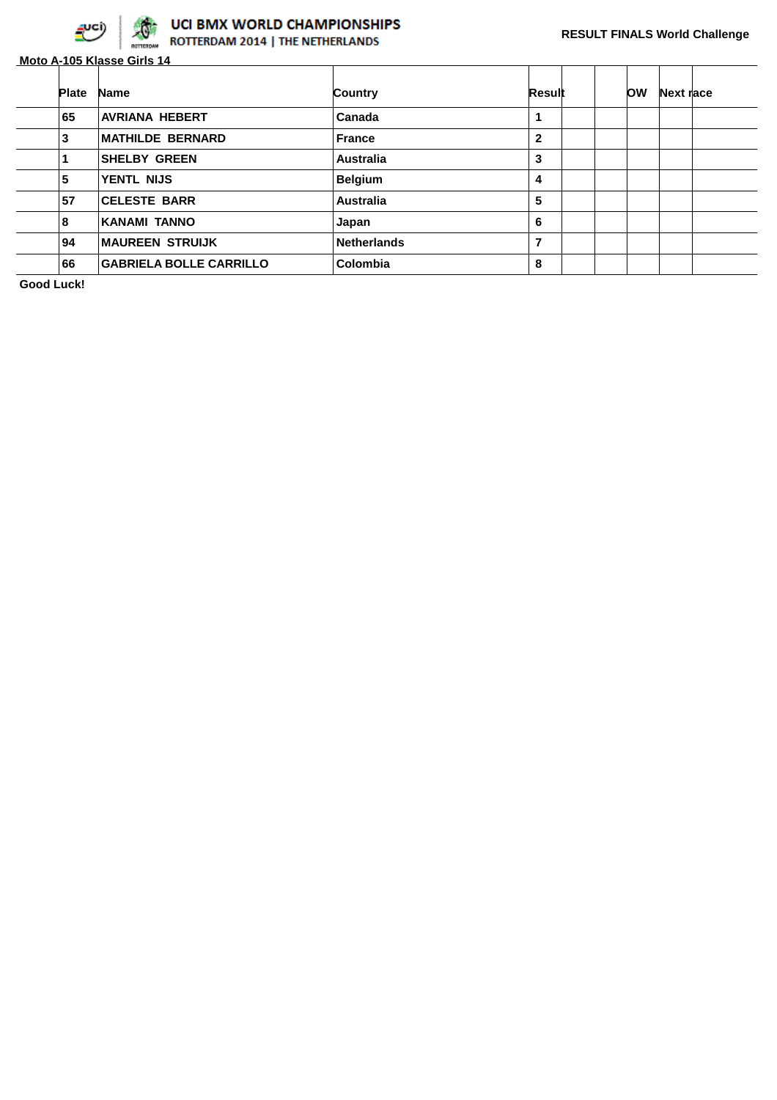

# UCI BMX WORLD CHAMPIONSHIPS<br>ROTTERDAM 2014 | THE NETHERLANDS

**Moto A-105 Klasse Girls 14**

| <b>Plate</b> | <b>Name</b>                    | Country            | Result       | <b>OW</b> | Next race |  |
|--------------|--------------------------------|--------------------|--------------|-----------|-----------|--|
| 65           | <b>AVRIANA HEBERT</b>          | Canada             | 1            |           |           |  |
| 3            | <b>MATHILDE BERNARD</b>        | <b>France</b>      | $\mathbf{2}$ |           |           |  |
|              | <b>SHELBY GREEN</b>            | <b>Australia</b>   | 3            |           |           |  |
| 5            | YENTL NIJS                     | <b>Belgium</b>     | 4            |           |           |  |
| 57           | <b>CELESTE BARR</b>            | <b>Australia</b>   | 5            |           |           |  |
| 8            | KANAMI TANNO                   | Japan              | 6            |           |           |  |
| 94           | <b>MAUREEN STRUIJK</b>         | <b>Netherlands</b> | 7            |           |           |  |
| 66           | <b>GABRIELA BOLLE CARRILLO</b> | Colombia           | 8            |           |           |  |

**Good Luck!**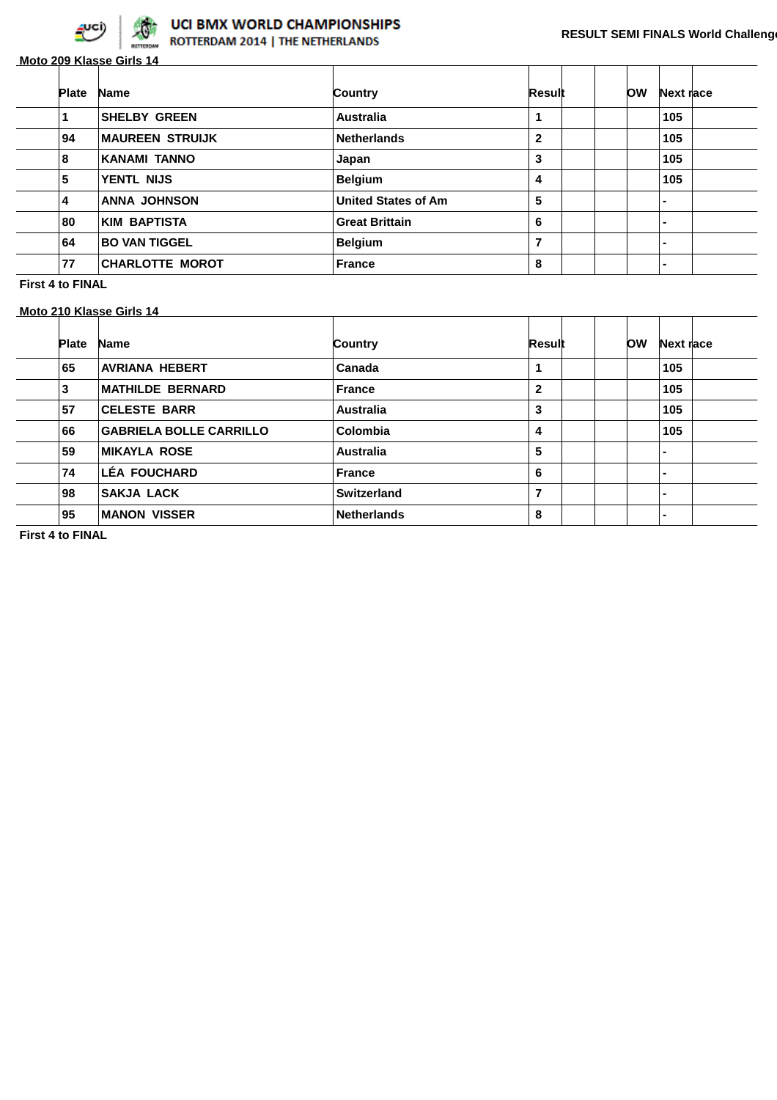

**Moto 209 Klasse Girls 14**

| <b>Plate</b> | <b>Name</b>            | Country                    | Result       | <b>OW</b> | Next race |
|--------------|------------------------|----------------------------|--------------|-----------|-----------|
|              | <b>SHELBY GREEN</b>    | <b>Australia</b>           | 1            |           | 105       |
| 94           | <b>MAUREEN STRUIJK</b> | <b>Netherlands</b>         | $\mathbf{2}$ |           | 105       |
| 8            | <b>KANAMI TANNO</b>    | Japan                      | 3            |           | 105       |
| 5            | YENTL NIJS             | <b>Belgium</b>             | 4            |           | 105       |
| 4            | <b>ANNA JOHNSON</b>    | <b>United States of Am</b> | 5            |           |           |
| 80           | <b>KIM BAPTISTA</b>    | <b>Great Brittain</b>      | 6            |           | -         |
| 64           | <b>BO VAN TIGGEL</b>   | <b>Belgium</b>             | 7            |           |           |
| 77           | <b>CHARLOTTE MOROT</b> | <b>France</b>              | 8            |           |           |

**First 4 to FINAL**

**Moto 210 Klasse Girls 14**

| <b>Plate</b> | <b>Name</b>                    | Country            | Result       | <b>OW</b> | Next race |
|--------------|--------------------------------|--------------------|--------------|-----------|-----------|
| 65           | <b>AVRIANA HEBERT</b>          | Canada             | 1            |           | 105       |
| 3            | <b>MATHILDE BERNARD</b>        | <b>France</b>      | $\mathbf{2}$ |           | 105       |
| 57           | <b>CELESTE BARR</b>            | <b>Australia</b>   | 3            |           | 105       |
| 66           | <b>GABRIELA BOLLE CARRILLO</b> | Colombia           | 4            |           | 105       |
| 59           | MIKAYLA ROSE                   | <b>Australia</b>   | 5            |           |           |
| 74           | <b>LÉA FOUCHARD</b>            | <b>France</b>      | 6            |           |           |
| 98           | <b>SAKJA LACK</b>              | Switzerland        | 7            |           |           |
| 95           | <b>MANON VISSER</b>            | <b>Netherlands</b> | 8            |           |           |

**First 4 to FINAL**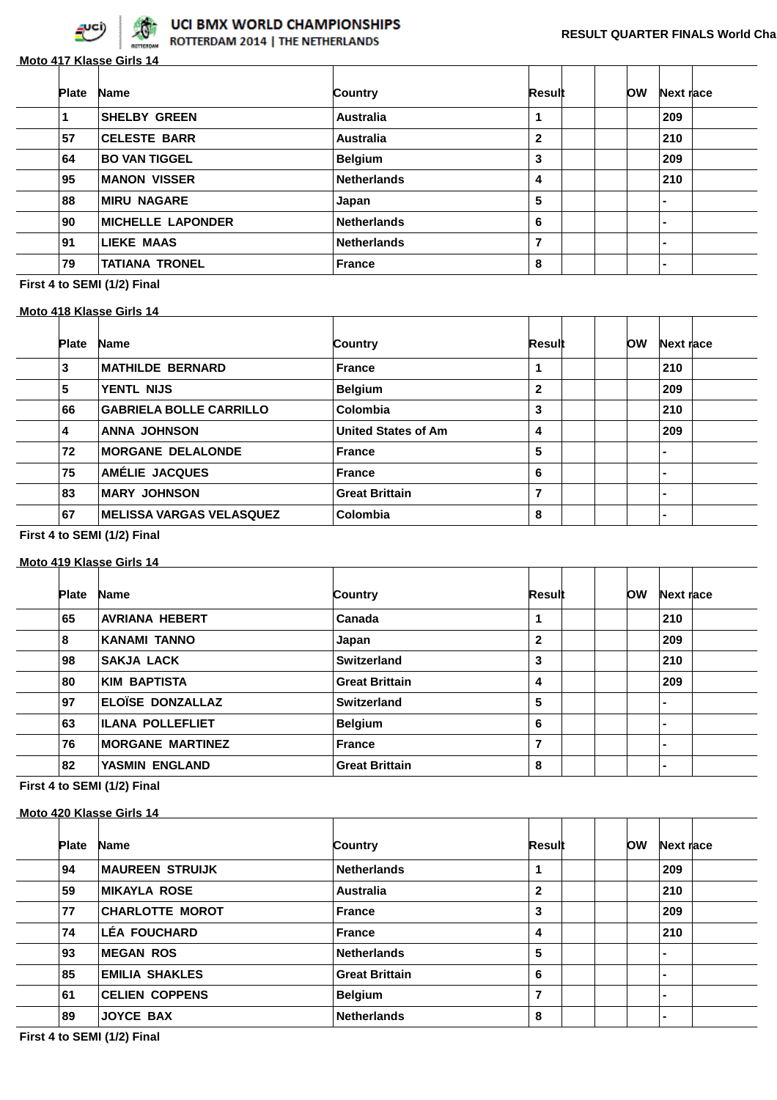

## **Moto 417 Klasse Girls 14**

| <b>Plate</b> | <b>Name</b>              | Country            | Result       | <b>OW</b> | Next race                |  |
|--------------|--------------------------|--------------------|--------------|-----------|--------------------------|--|
|              | <b>SHELBY GREEN</b>      | <b>Australia</b>   |              |           | 209                      |  |
| 57           | <b>CELESTE BARR</b>      | <b>Australia</b>   | $\mathbf{2}$ |           | 210                      |  |
| 64           | <b>BO VAN TIGGEL</b>     | <b>Belgium</b>     | 3            |           | 209                      |  |
| 95           | <b>MANON VISSER</b>      | <b>Netherlands</b> | 4            |           | 210                      |  |
| 88           | <b>MIRU NAGARE</b>       | Japan              | 5            |           | $\blacksquare$           |  |
| 90           | <b>MICHELLE LAPONDER</b> | <b>Netherlands</b> | 6            |           | ۰.                       |  |
| 91           | <b>LIEKE MAAS</b>        | <b>Netherlands</b> | 7            |           | $\overline{\phantom{0}}$ |  |
| 79           | <b>TATIANA TRONEL</b>    | <b>France</b>      | 8            |           | $\blacksquare$           |  |

**First 4 to SEMI (1/2) Final**

#### **Moto 418 Klasse Girls 14**

| <b>Plate</b> | <b>Name</b>                     | Country                    | Result | <b>OW</b> | Next race      |  |
|--------------|---------------------------------|----------------------------|--------|-----------|----------------|--|
| 3            | <b>MATHILDE BERNARD</b>         | <b>France</b>              |        |           | 210            |  |
| 5            | YENTL NIJS                      | <b>Belgium</b>             | 2      |           | 209            |  |
| 66           | <b>GABRIELA BOLLE CARRILLO</b>  | Colombia                   | 3      |           | 210            |  |
| 4            | <b>ANNA JOHNSON</b>             | <b>United States of Am</b> | 4      |           | 209            |  |
| 72           | <b>MORGANE DELALONDE</b>        | <b>France</b>              | 5      |           | -              |  |
| 75           | AMÉLIE JACQUES                  | <b>France</b>              | 6      |           | ۰              |  |
| 83           | <b>MARY JOHNSON</b>             | <b>Great Brittain</b>      | 7      |           | $\blacksquare$ |  |
| 67           | <b>MELISSA VARGAS VELASQUEZ</b> | Colombia                   | 8      |           | -              |  |

#### **First 4 to SEMI (1/2) Final**

#### **Moto 419 Klasse Girls 14**

| <b>Plate</b> | <b>Name</b>             | Country               | Result       | ΟW | Next race      |  |
|--------------|-------------------------|-----------------------|--------------|----|----------------|--|
|              |                         |                       |              |    |                |  |
| 65           | <b>AVRIANA HEBERT</b>   | Canada                | 1            |    | 210            |  |
| 8            | <b>KANAMI TANNO</b>     | Japan                 | $\mathbf{2}$ |    | 209            |  |
| 98           | <b>SAKJA LACK</b>       | <b>Switzerland</b>    | 3            |    | 210            |  |
| 80           | <b>KIM BAPTISTA</b>     | <b>Great Brittain</b> | 4            |    | 209            |  |
| 97           | <b>ELOÏSE DONZALLAZ</b> | Switzerland           | 5            |    | $\blacksquare$ |  |
| 63           | <b>ILANA POLLEFLIET</b> | <b>Belgium</b>        | 6            |    | $\blacksquare$ |  |
| 76           | <b>MORGANE MARTINEZ</b> | <b>France</b>         | 7            |    | $\blacksquare$ |  |
| 82           | YASMIN ENGLAND          | <b>Great Brittain</b> | 8            |    | $\blacksquare$ |  |

## **First 4 to SEMI (1/2) Final**

## **Moto 420 Klasse Girls 14**

| <b>Plate</b> | <b>Name</b>            | Country               | Result       | ΟW | Next race      |  |
|--------------|------------------------|-----------------------|--------------|----|----------------|--|
| 94           | <b>MAUREEN STRUIJK</b> | <b>Netherlands</b>    | 1            |    | 209            |  |
| 59           | <b>MIKAYLA ROSE</b>    | <b>Australia</b>      | $\mathbf{2}$ |    | 210            |  |
| 77           | <b>CHARLOTTE MOROT</b> | France                | 3            |    | 209            |  |
| 74           | <b>LÉA FOUCHARD</b>    | <b>France</b>         | 4            |    | 210            |  |
| 93           | <b>MEGAN ROS</b>       | <b>Netherlands</b>    | 5            |    | $\blacksquare$ |  |
| 85           | <b>EMILIA SHAKLES</b>  | <b>Great Brittain</b> | 6            |    | $\blacksquare$ |  |
| 61           | <b>CELIEN COPPENS</b>  | <b>Belgium</b>        | 7            |    | $\blacksquare$ |  |
| 89           | <b>JOYCE BAX</b>       | <b>Netherlands</b>    | 8            |    | $\blacksquare$ |  |

**First 4 to SEMI (1/2) Final**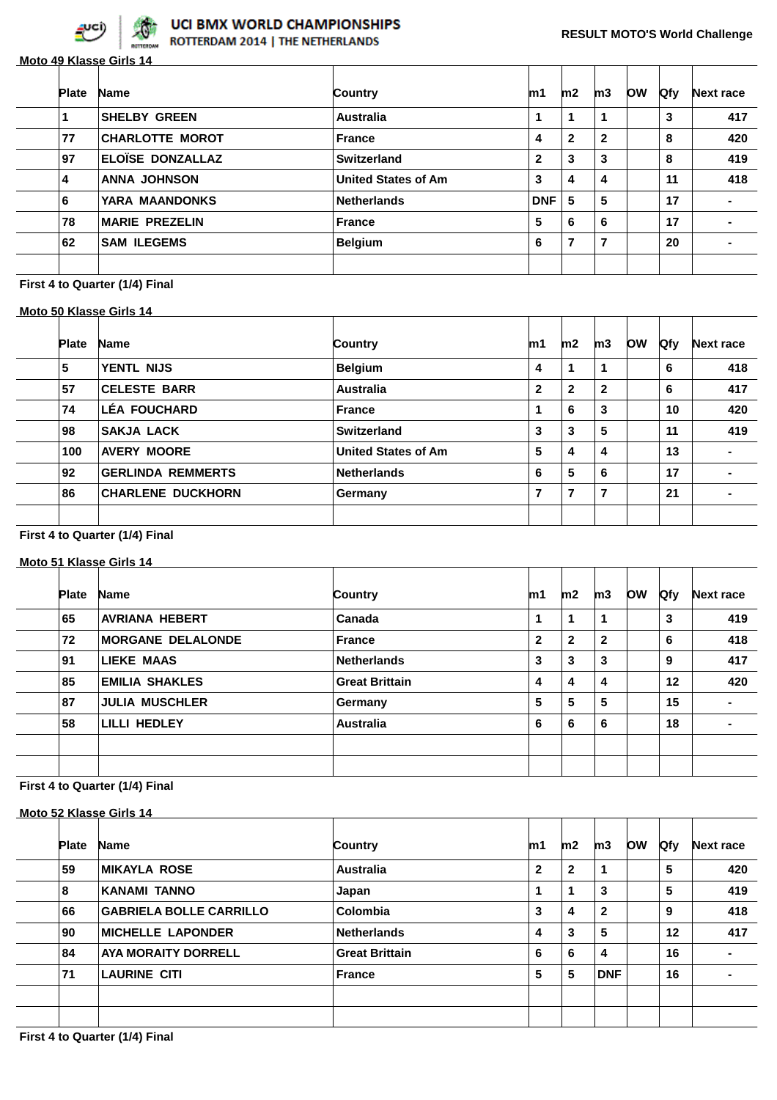

**Moto 49 Klasse Girls 14**

| <b>Plate</b> | <b>Name</b>             | Country                    | m1           | m2             | m3           | <b>OW</b> | <b>Qfy</b> | <b>Next race</b> |
|--------------|-------------------------|----------------------------|--------------|----------------|--------------|-----------|------------|------------------|
|              | <b>SHELBY GREEN</b>     | Australia                  | 1            | 1              | 1            |           | 3          | 417              |
| 77           | <b>CHARLOTTE MOROT</b>  | France                     | 4            | $\mathbf{2}$   | $\mathbf{2}$ |           | 8          | 420              |
| 97           | <b>ELOÏSE DONZALLAZ</b> | Switzerland                | $\mathbf{2}$ | 3              | 3            |           | 8          | 419              |
| 4            | <b>ANNA JOHNSON</b>     | <b>United States of Am</b> | 3            | 4              | 4            |           | 11         | 418              |
| 6            | YARA MAANDONKS          | <b>Netherlands</b>         | <b>DNF</b>   | 5              | 5            |           | 17         | $\blacksquare$   |
| 78           | <b>MARIE PREZELIN</b>   | France                     | 5            | 6              | 6            |           | 17         |                  |
| 62           | <b>SAM ILEGEMS</b>      | <b>Belgium</b>             | 6            | $\overline{7}$ | 7            |           | 20         |                  |
|              |                         |                            |              |                |              |           |            |                  |

### **First 4 to Quarter (1/4) Final**

#### **Moto 50 Klasse Girls 14**

| <b>Plate</b> | <b>Name</b>              | Country                    | m1           | m2             | m3           | <b>OW</b> | <b>Qfy</b> | <b>Next race</b> |
|--------------|--------------------------|----------------------------|--------------|----------------|--------------|-----------|------------|------------------|
| 5            | <b>YENTL NIJS</b>        | <b>Belgium</b>             | 4            |                | 1            |           | 6          | 418              |
| 57           | <b>CELESTE BARR</b>      | <b>Australia</b>           | $\mathbf{2}$ | $\mathbf{2}$   | $\mathbf{2}$ |           | 6          | 417              |
| 74           | <b>LÉA FOUCHARD</b>      | <b>France</b>              |              | 6              | 3            |           | 10         | 420              |
| 98           | <b>SAKJA LACK</b>        | <b>Switzerland</b>         | 3            | 3              | 5            |           | 11         | 419              |
| 100          | <b>AVERY MOORE</b>       | <b>United States of Am</b> | 5            | 4              | 4            |           | 13         |                  |
| 92           | <b>GERLINDA REMMERTS</b> | <b>Netherlands</b>         | 6            | 5              | 6            |           | 17         |                  |
| 86           | <b>CHARLENE DUCKHORN</b> | Germany                    | 7            | $\overline{7}$ | 7            |           | 21         |                  |
|              |                          |                            |              |                |              |           |            |                  |

#### **First 4 to Quarter (1/4) Final**

#### **Moto 51 Klasse Girls 14**

| <b>Plate</b> | <b>Name</b>              | Country               | m1           | m2           | m3           | <b>OW</b> | <b>Ofy</b> | <b>Next race</b> |
|--------------|--------------------------|-----------------------|--------------|--------------|--------------|-----------|------------|------------------|
| 65           | <b>AVRIANA HEBERT</b>    | Canada                | 1            | 1            | 1            |           | 3          | 419              |
| 72           | <b>MORGANE DELALONDE</b> | <b>France</b>         | $\mathbf{2}$ | $\mathbf{2}$ | $\mathbf{2}$ |           | 6          | 418              |
| 91           | <b>LIEKE MAAS</b>        | <b>Netherlands</b>    | 3            | 3            | 3            |           | 9          | 417              |
| 85           | <b>EMILIA SHAKLES</b>    | <b>Great Brittain</b> | 4            | 4            | 4            |           | 12         | 420              |
| 87           | <b>JULIA MUSCHLER</b>    | Germany               | 5            | 5            | 5            |           | 15         | $\blacksquare$   |
| 58           | LILLI HEDLEY             | <b>Australia</b>      | 6            | 6            | 6            |           | 18         | -                |
|              |                          |                       |              |              |              |           |            |                  |
|              |                          |                       |              |              |              |           |            |                  |
|              |                          |                       |              |              |              |           |            |                  |

|    |              | Moto 52 Klasse Girls 14        |                       |              |              |              |           |            |                  |
|----|--------------|--------------------------------|-----------------------|--------------|--------------|--------------|-----------|------------|------------------|
|    | <b>Plate</b> | <b>Name</b>                    | Country               | m1           | m2           | m3           | <b>OW</b> | <b>Qfy</b> | <b>Next race</b> |
| 59 |              | <b>MIKAYLA ROSE</b>            | Australia             | $\mathbf{2}$ | $\mathbf{2}$ | 1            |           | 5          | 420              |
| 8  |              | <b>KANAMI TANNO</b>            | Japan                 |              | 1            | 3            |           | 5          | 419              |
| 66 |              | <b>GABRIELA BOLLE CARRILLO</b> | Colombia              | 3            | 4            | $\mathbf{2}$ |           | 9          | 418              |
| 90 |              | <b>MICHELLE LAPONDER</b>       | <b>Netherlands</b>    | 4            | 3            | 5            |           | 12         | 417              |
| 84 |              | <b>AYA MORAITY DORRELL</b>     | <b>Great Brittain</b> | 6            | 6            | 4            |           | 16         | -                |
| 71 |              | <b>LAURINE CITI</b>            | France                | 5            | 5            | <b>DNF</b>   |           | 16         |                  |
|    |              |                                |                       |              |              |              |           |            |                  |
|    |              |                                |                       |              |              |              |           |            |                  |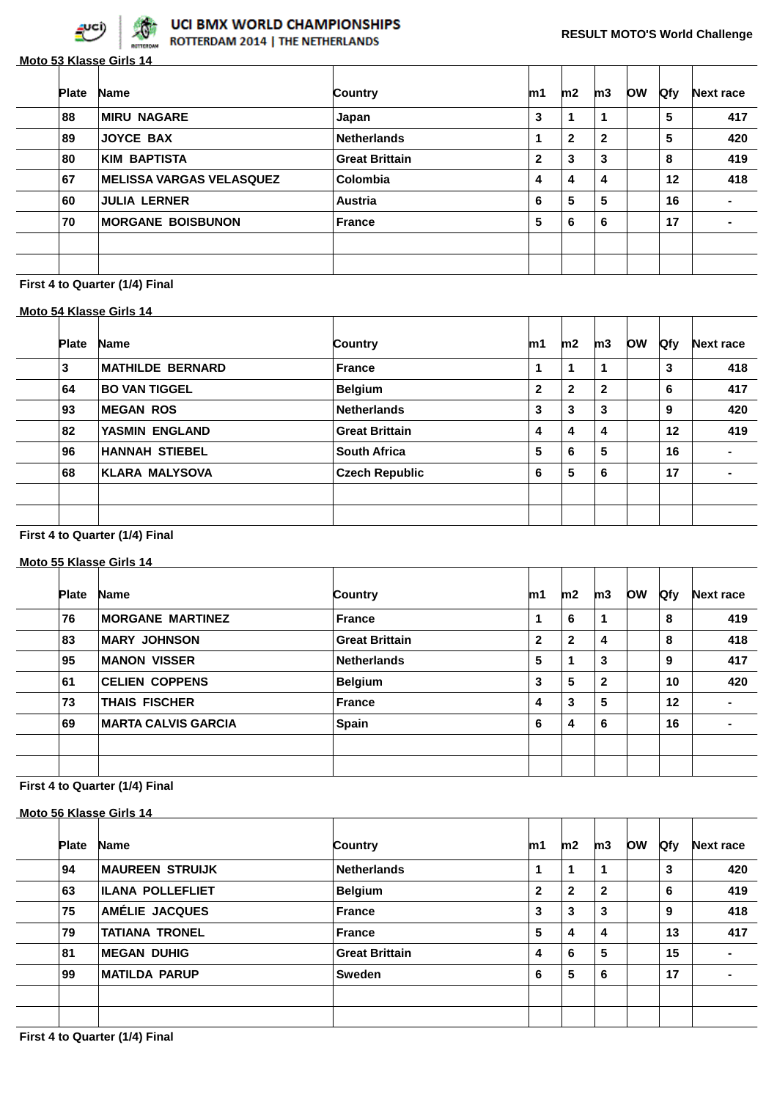

## UCI BMX WORLD CHAMPIONSHIPS

ROTTERDAM 2014 | THE NETHERLANDS

| Country<br>Japan<br><b>Netherlands</b> | m1<br>3      | m2<br>1      | m3           | <b>OW</b> | <b>Qfy</b> | <b>Next race</b> |
|----------------------------------------|--------------|--------------|--------------|-----------|------------|------------------|
|                                        |              |              |              |           |            |                  |
|                                        |              |              |              |           | 5          | 417              |
|                                        |              | $\mathbf{2}$ | $\mathbf{2}$ |           | 5          | 420              |
| <b>Great Brittain</b>                  | $\mathbf{2}$ | 3            | 3            |           | 8          | 419              |
| Colombia                               | 4            | 4            | 4            |           | 12         | 418              |
| <b>Austria</b>                         | 6            | 5            | 5            |           | 16         |                  |
| <b>France</b>                          | 5            | 6            | 6            |           | 17         |                  |
|                                        |              |              |              |           |            |                  |
|                                        |              |              |              |           |            |                  |
|                                        |              | 1            |              |           |            |                  |

#### **First 4 to Quarter (1/4) Final**

#### **Moto 54 Klasse Girls 14**

| <b>Plate</b> | <b>Name</b>             | <b>Country</b>        | m1           | m2           | m3           | <b>OW</b> | Qfy | <b>Next race</b> |
|--------------|-------------------------|-----------------------|--------------|--------------|--------------|-----------|-----|------------------|
| 3            | <b>MATHILDE BERNARD</b> | <b>France</b>         |              | 1            | $\mathbf 1$  |           | 3   | 418              |
| 64           | <b>BO VAN TIGGEL</b>    | <b>Belgium</b>        | $\mathbf{2}$ | $\mathbf{2}$ | $\mathbf{2}$ |           | 6   | 417              |
| 93           | <b>MEGAN ROS</b>        | <b>Netherlands</b>    | 3            | 3            | 3            |           | 9   | 420              |
| 82           | YASMIN ENGLAND          | <b>Great Brittain</b> | 4            | 4            | 4            |           | 12  | 419              |
| 96           | <b>HANNAH STIEBEL</b>   | <b>South Africa</b>   | 5            | 6            | 5            |           | 16  |                  |
| 68           | <b>KLARA MALYSOVA</b>   | <b>Czech Republic</b> | 6            | 5            | 6            |           | 17  |                  |
|              |                         |                       |              |              |              |           |     |                  |
|              |                         |                       |              |              |              |           |     |                  |
|              |                         |                       |              |              |              |           |     |                  |

#### **First 4 to Quarter (1/4) Final**

#### **Moto 55 Klasse Girls 14**

| <b>MORGANE MARTINEZ</b>    | <b>France</b>         |              |              |              | <b>Ofy</b> | <b>Next race</b>         |
|----------------------------|-----------------------|--------------|--------------|--------------|------------|--------------------------|
|                            |                       | 1            | 6            | 1            | 8          | 419                      |
| <b>MARY JOHNSON</b>        | <b>Great Brittain</b> | $\mathbf{2}$ | $\mathbf{2}$ | 4            | 8          | 418                      |
| <b>MANON VISSER</b>        | <b>Netherlands</b>    | 5            |              | 3            | 9          | 417                      |
| <b>CELIEN COPPENS</b>      | <b>Belgium</b>        | 3            | 5            | $\mathbf{2}$ | 10         | 420                      |
| <b>THAIS FISCHER</b>       | <b>France</b>         | 4            | 3            | 5            | 12         | $\blacksquare$           |
| <b>MARTA CALVIS GARCIA</b> | Spain                 | 6            | 4            | 6            | 16         | $\overline{\phantom{0}}$ |
|                            |                       |              |              |              |            |                          |
|                            |                       |              |              |              |            |                          |
|                            |                       |              |              |              |            |                          |

|              | Moto 56 Klasse Girls 14 |                       |              |              |              |           |            |                  |
|--------------|-------------------------|-----------------------|--------------|--------------|--------------|-----------|------------|------------------|
| <b>Plate</b> | <b>Name</b>             | Country               | m1           | m2           | m3           | <b>OW</b> | <b>Qfy</b> | <b>Next race</b> |
| 94           | <b>MAUREEN STRUIJK</b>  | <b>Netherlands</b>    | 1            | 1            | 1            |           | 3          | 420              |
| 63           | <b>ILANA POLLEFLIET</b> | <b>Belgium</b>        | $\mathbf{2}$ | $\mathbf{2}$ | $\mathbf{2}$ |           | 6          | 419              |
| 75           | AMÉLIE JACQUES          | France                | 3            | 3            | 3            |           | 9          | 418              |
| 79           | <b>TATIANA TRONEL</b>   | France                | 5            | 4            | 4            |           | 13         | 417              |
| 81           | <b>MEGAN DUHIG</b>      | <b>Great Brittain</b> | 4            | 6            | 5            |           | 15         | ۰                |
| 99           | <b>MATILDA PARUP</b>    | <b>Sweden</b>         | 6            | 5            | 6            |           | 17         |                  |
|              |                         |                       |              |              |              |           |            |                  |
|              |                         |                       |              |              |              |           |            |                  |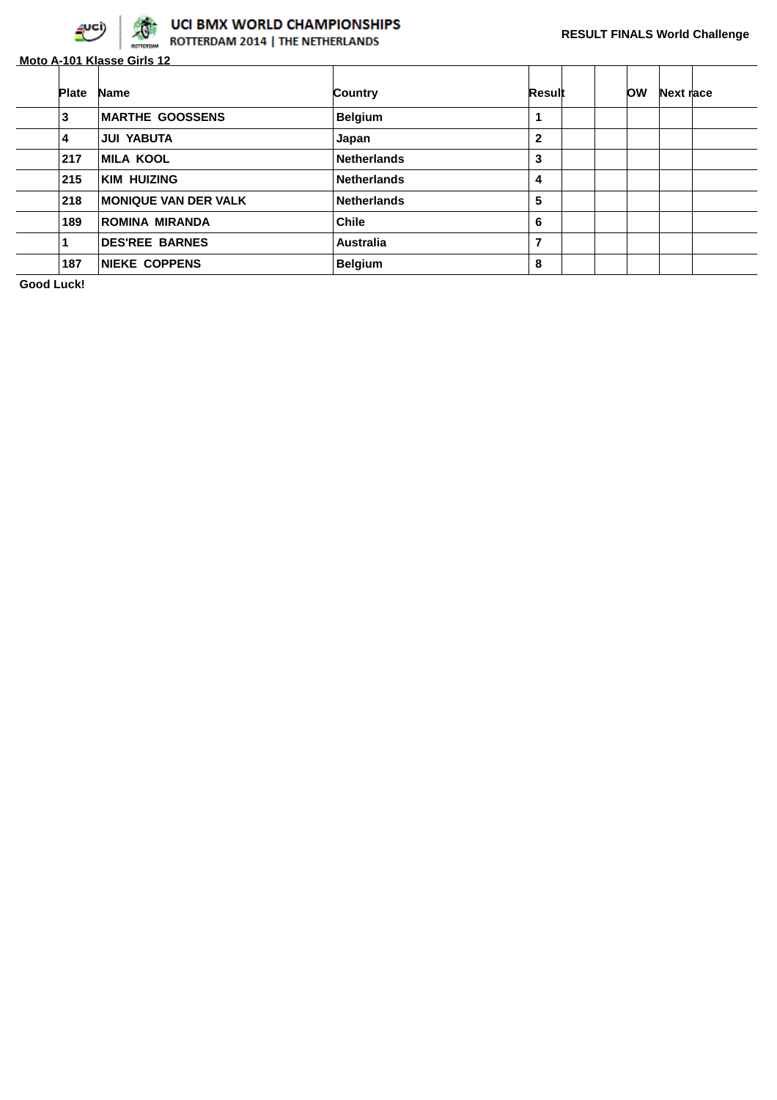

# **OCI BMX WORLD CHAMPIONSHIPS**

|              | Moto A-101 Klasse Girls 12  |                    |              |           |           |  |
|--------------|-----------------------------|--------------------|--------------|-----------|-----------|--|
| <b>Plate</b> | <b>Name</b>                 | <b>Country</b>     | Result       | <b>OW</b> | Next race |  |
| 3            | <b>MARTHE GOOSSENS</b>      | <b>Belgium</b>     | 1            |           |           |  |
| 4            | <b>JUI YABUTA</b>           | Japan              | $\mathbf{2}$ |           |           |  |
| 217          | <b>MILA KOOL</b>            | <b>Netherlands</b> | 3            |           |           |  |
| 215          | <b>KIM HUIZING</b>          | <b>Netherlands</b> | 4            |           |           |  |
| 218          | <b>MONIQUE VAN DER VALK</b> | <b>Netherlands</b> | 5            |           |           |  |
| 189          | ROMINA MIRANDA              | <b>Chile</b>       | 6            |           |           |  |
|              | <b>DES'REE BARNES</b>       | <b>Australia</b>   | 7            |           |           |  |
| 187          | <b>NIEKE COPPENS</b>        | <b>Belgium</b>     | 8            |           |           |  |

**Good Luck!**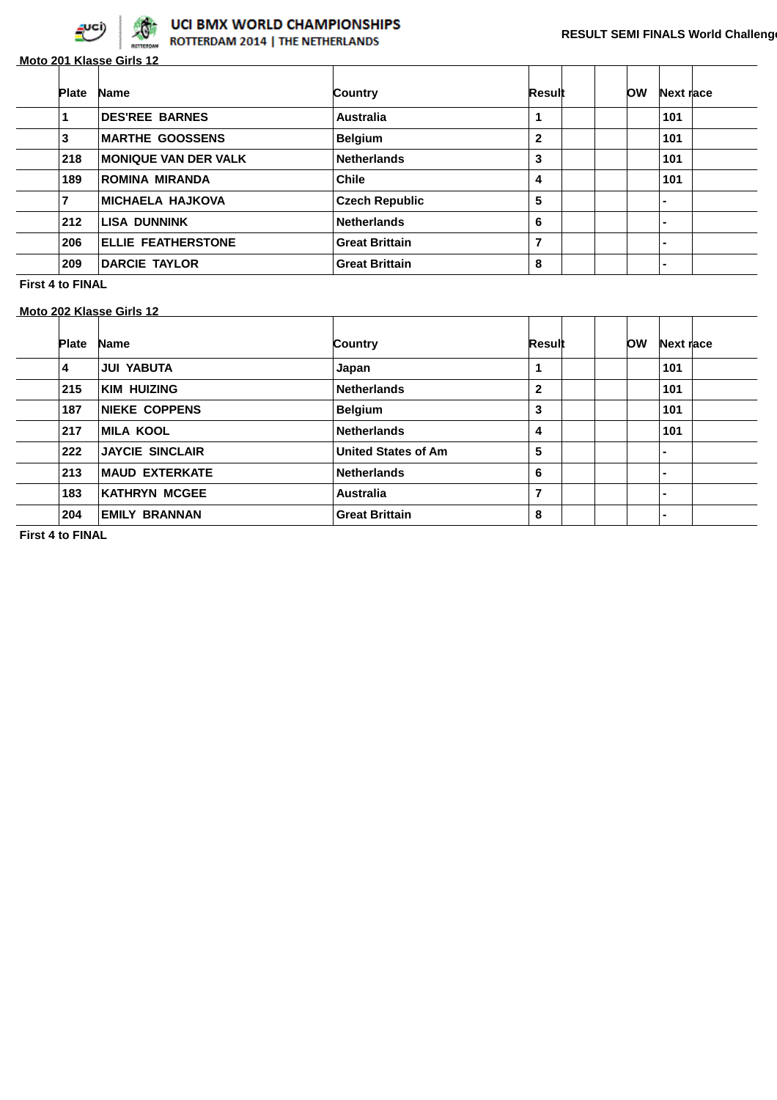

**Moto 201 Klasse Girls 12**

| <b>Plate</b> | <b>Name</b>                 | Country               | Result         | OW | Next race      |  |
|--------------|-----------------------------|-----------------------|----------------|----|----------------|--|
|              | <b>DES'REE BARNES</b>       | <b>Australia</b>      | 1              |    | 101            |  |
| 3            | <b>MARTHE GOOSSENS</b>      | <b>Belgium</b>        | $\mathbf{2}$   |    | 101            |  |
| 218          | <b>MONIQUE VAN DER VALK</b> | <b>Netherlands</b>    | 3              |    | 101            |  |
| 189          | <b>ROMINA MIRANDA</b>       | <b>Chile</b>          | 4              |    | 101            |  |
|              | <b>MICHAELA HAJKOVA</b>     | <b>Czech Republic</b> | 5              |    | -              |  |
| 212          | <b>LISA DUNNINK</b>         | <b>Netherlands</b>    | 6              |    | $\blacksquare$ |  |
| 206          | <b>ELLIE FEATHERSTONE</b>   | <b>Great Brittain</b> | $\overline{7}$ |    |                |  |
| 209          | <b>DARCIE TAYLOR</b>        | <b>Great Brittain</b> | 8              |    | -              |  |

**First 4 to FINAL**

**Moto 202 Klasse Girls 12**

| <b>Plate</b> | <b>Name</b>            | Country                    | Result       | OW | Next race |  |
|--------------|------------------------|----------------------------|--------------|----|-----------|--|
| 4            | <b>JUI YABUTA</b>      | Japan                      | 1            |    | 101       |  |
| 215          | <b>KIM HUIZING</b>     | <b>Netherlands</b>         | $\mathbf{2}$ |    | 101       |  |
| 187          | <b>NIEKE COPPENS</b>   | <b>Belgium</b>             | 3            |    | 101       |  |
| 217          | <b>MILA KOOL</b>       | <b>Netherlands</b>         | 4            |    | 101       |  |
| 222          | <b>JAYCIE SINCLAIR</b> | <b>United States of Am</b> | 5            |    |           |  |
| 213          | <b>MAUD EXTERKATE</b>  | <b>Netherlands</b>         | 6            |    |           |  |
| 183          | <b>KATHRYN MCGEE</b>   | Australia                  | 7            |    |           |  |
| 204          | <b>EMILY BRANNAN</b>   | <b>Great Brittain</b>      | 8            |    |           |  |

**First 4 to FINAL**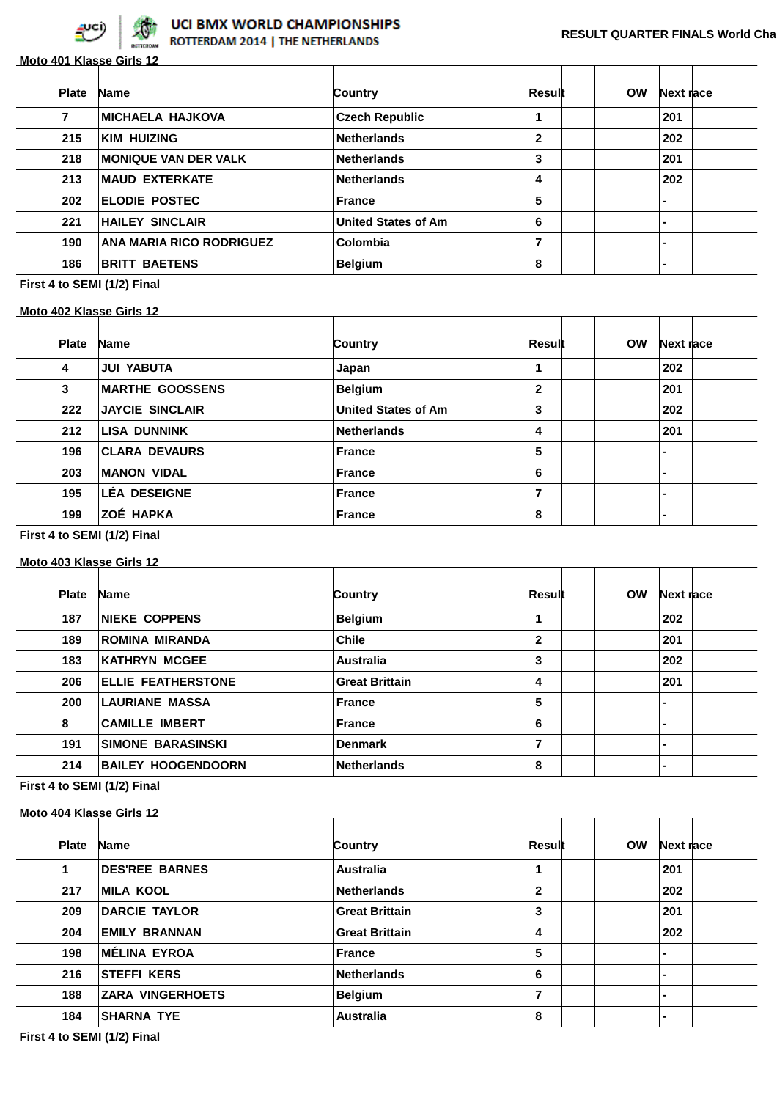

## UCI BMX WORLD CHAMPIONSHIPS

ROTTERDAM 2014 | THE NETHERLANDS

|              | Moto 401 Klasse Girls 12    |                            |              |           |           |  |
|--------------|-----------------------------|----------------------------|--------------|-----------|-----------|--|
| <b>Plate</b> | <b>Name</b>                 | Country                    | Result       | <b>OW</b> | Next race |  |
|              | <b>MICHAELA HAJKOVA</b>     | <b>Czech Republic</b>      | 1            |           | 201       |  |
| 215          | <b>KIM HUIZING</b>          | <b>Netherlands</b>         | $\mathbf{2}$ |           | 202       |  |
| 218          | <b>MONIQUE VAN DER VALK</b> | <b>Netherlands</b>         | 3            |           | 201       |  |
| 213          | <b>MAUD EXTERKATE</b>       | <b>Netherlands</b>         | 4            |           | 202       |  |
| 202          | <b>ELODIE POSTEC</b>        | <b>France</b>              | 5            |           |           |  |
| 221          | <b>HAILEY SINCLAIR</b>      | <b>United States of Am</b> | 6            |           |           |  |
| 190          | ANA MARIA RICO RODRIGUEZ    | Colombia                   | 7            |           | -         |  |
| 186          | <b>BRITT BAETENS</b>        | <b>Belgium</b>             | 8            |           |           |  |

**First 4 to SEMI (1/2) Final**

#### **Moto 402 Klasse Girls 12**

| <b>Plate</b> | <b>Name</b>            | Country                    | Result       | <b>OW</b> | Next race      |  |
|--------------|------------------------|----------------------------|--------------|-----------|----------------|--|
| 4            | <b>JUI YABUTA</b>      | Japan                      |              |           | 202            |  |
| 3            | <b>MARTHE GOOSSENS</b> | <b>Belgium</b>             | $\mathbf{2}$ |           | 201            |  |
| 222          | <b>JAYCIE SINCLAIR</b> | <b>United States of Am</b> | 3            |           | 202            |  |
| 212          | <b>LISA DUNNINK</b>    | <b>Netherlands</b>         | 4            |           | 201            |  |
| 196          | <b>CLARA DEVAURS</b>   | <b>France</b>              | 5            |           | -              |  |
| 203          | <b>MANON VIDAL</b>     | <b>France</b>              | 6            |           | $\blacksquare$ |  |
| 195          | <b>LÉA DESEIGNE</b>    | <b>France</b>              | 7            |           | $\blacksquare$ |  |
| 199          | ZOÉ HAPKA              | <b>France</b>              | 8            |           | $\blacksquare$ |  |
|              |                        |                            |              |           |                |  |

**First 4 to SEMI (1/2) Final**

#### **Moto 403 Klasse Girls 12**

| <b>Plate</b> | <b>Name</b>               | Country               | Result       | <b>OW</b> | Next race      |
|--------------|---------------------------|-----------------------|--------------|-----------|----------------|
|              |                           |                       |              |           |                |
| 187          | <b>NIEKE COPPENS</b>      | <b>Belgium</b>        |              |           | 202            |
| 189          | <b>ROMINA MIRANDA</b>     | <b>Chile</b>          | $\mathbf{2}$ |           | 201            |
| 183          | <b>KATHRYN MCGEE</b>      | <b>Australia</b>      | 3            |           | 202            |
| 206          | <b>ELLIE FEATHERSTONE</b> | <b>Great Brittain</b> | 4            |           | 201            |
| 200          | <b>LAURIANE MASSA</b>     | <b>France</b>         | 5            |           | -              |
| 8            | <b>CAMILLE IMBERT</b>     | <b>France</b>         | 6            |           | $\blacksquare$ |
| 191          | SIMONE BARASINSKI         | <b>Denmark</b>        | 7            |           | -              |
| 214          | <b>BAILEY HOOGENDOORN</b> | <b>Netherlands</b>    | 8            |           | -              |

## **First 4 to SEMI (1/2) Final**

## **Moto 404 Klasse Girls 12**

| <b>Plate</b> | <b>Name</b>             | Country               | Result         | ЮW | Next race      |  |
|--------------|-------------------------|-----------------------|----------------|----|----------------|--|
|              | <b>DES'REE BARNES</b>   | Australia             |                |    | 201            |  |
| 217          | <b>MILA KOOL</b>        | <b>Netherlands</b>    | $\mathbf{2}$   |    | 202            |  |
| 209          | <b>DARCIE TAYLOR</b>    | <b>Great Brittain</b> | 3              |    | 201            |  |
| 204          | <b>EMILY BRANNAN</b>    | <b>Great Brittain</b> | 4              |    | 202            |  |
| 198          | <b>MÉLINA EYROA</b>     | <b>France</b>         | 5              |    | $\blacksquare$ |  |
| 216          | <b>STEFFI KERS</b>      | <b>Netherlands</b>    | 6              |    | $\blacksquare$ |  |
| 188          | <b>ZARA VINGERHOETS</b> | <b>Belgium</b>        | $\overline{7}$ |    | $\blacksquare$ |  |
| 184          | <b>SHARNA TYE</b>       | <b>Australia</b>      | 8              |    | $\blacksquare$ |  |

**First 4 to SEMI (1/2) Final**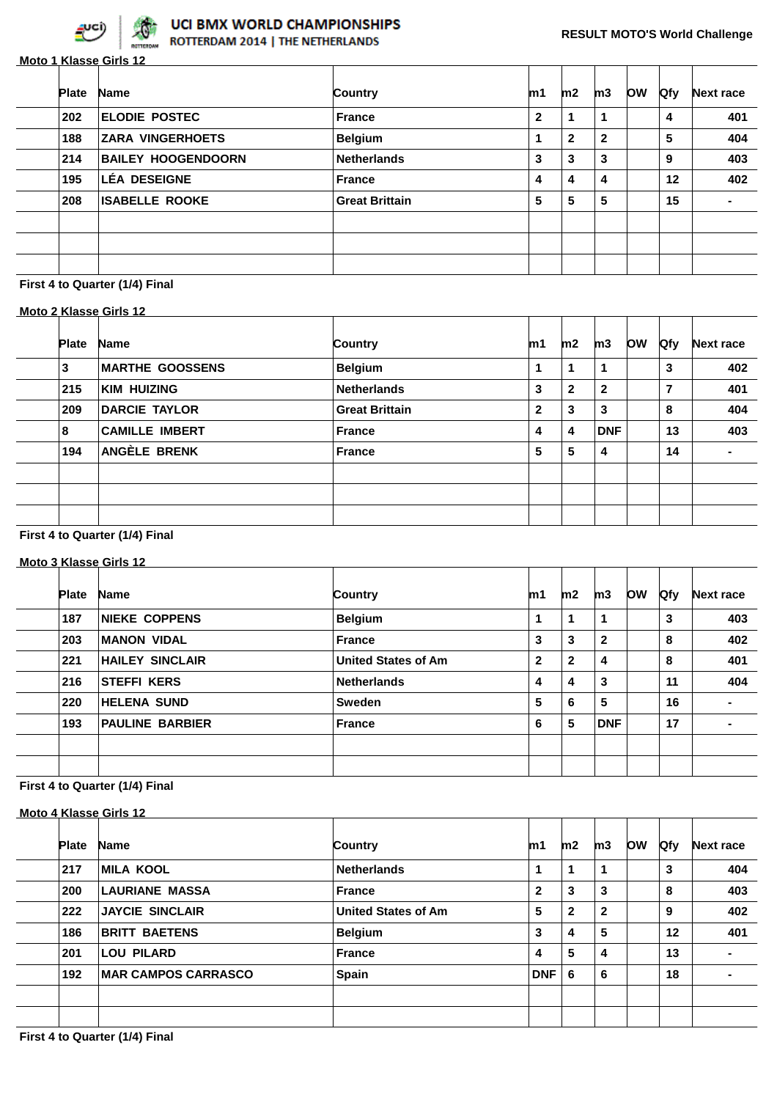

|              | Moto 1 Klasse Girls 12    |                       |              |              |              |           |            |                  |
|--------------|---------------------------|-----------------------|--------------|--------------|--------------|-----------|------------|------------------|
| <b>Plate</b> | <b>Name</b>               | Country               | m1           | m2           | m3           | <b>OW</b> | <b>Qfy</b> | <b>Next race</b> |
| 202          | <b>ELODIE POSTEC</b>      | <b>France</b>         | $\mathbf{2}$ | 1            |              |           | 4          | 401              |
| 188          | <b>ZARA VINGERHOETS</b>   | <b>Belgium</b>        |              | $\mathbf{2}$ | $\mathbf{2}$ |           | 5          | 404              |
| 214          | <b>BAILEY HOOGENDOORN</b> | <b>Netherlands</b>    | 3            | 3            | 3            |           | 9          | 403              |
| 195          | LÉA DESEIGNE              | <b>France</b>         | 4            | 4            | 4            |           | 12         | 402              |
| 208          | <b>ISABELLE ROOKE</b>     | <b>Great Brittain</b> | 5            | 5            | 5            |           | 15         |                  |
|              |                           |                       |              |              |              |           |            |                  |
|              |                           |                       |              |              |              |           |            |                  |
|              |                           |                       |              |              |              |           |            |                  |

### **First 4 to Quarter (1/4) Final**

#### **Moto 2 Klasse Girls 12**

| <b>Plate</b> | <b>Name</b>            | <b>Country</b>        | m1           | m2           | m3           | <b>OW</b> | Qfy | <b>Next race</b> |
|--------------|------------------------|-----------------------|--------------|--------------|--------------|-----------|-----|------------------|
| 3            | <b>MARTHE GOOSSENS</b> | <b>Belgium</b>        |              | 1            | $\mathbf 1$  |           | 3   | 402              |
| 215          | <b>KIM HUIZING</b>     | <b>Netherlands</b>    | 3            | $\mathbf{2}$ | $\mathbf{2}$ |           | 7   | 401              |
| 209          | <b>DARCIE TAYLOR</b>   | <b>Great Brittain</b> | $\mathbf{2}$ | 3            | 3            |           | 8   | 404              |
| 8            | <b>CAMILLE IMBERT</b>  | <b>France</b>         | 4            | 4            | <b>DNF</b>   |           | 13  | 403              |
| 194          | ANGÈLE BRENK           | <b>France</b>         | 5            | 5            | 4            |           | 14  |                  |
|              |                        |                       |              |              |              |           |     |                  |
|              |                        |                       |              |              |              |           |     |                  |
|              |                        |                       |              |              |              |           |     |                  |

#### **First 4 to Quarter (1/4) Final**

#### **Moto 3 Klasse Girls 12**

| <b>Plate</b> | <b>Name</b>            | Country                    | m1           | m2           | m3           | <b>OW</b> | <b>Ofy</b> | Next race      |
|--------------|------------------------|----------------------------|--------------|--------------|--------------|-----------|------------|----------------|
| 187          | <b>NIEKE COPPENS</b>   | <b>Belgium</b>             | 1            | 1            | 1            |           | 3          | 403            |
| 203          | <b>MANON VIDAL</b>     | France                     | 3            | 3            | $\mathbf{2}$ |           | 8          | 402            |
| 221          | <b>HAILEY SINCLAIR</b> | <b>United States of Am</b> | $\mathbf{2}$ | $\mathbf{2}$ | 4            |           | 8          | 401            |
| 216          | <b>STEFFI KERS</b>     | <b>Netherlands</b>         | 4            | 4            | 3            |           | 11         | 404            |
| 220          | <b>HELENA SUND</b>     | <b>Sweden</b>              | 5            | 6            | 5            |           | 16         | $\blacksquare$ |
| 193          | <b>PAULINE BARBIER</b> | <b>France</b>              | 6            | 5            | <b>DNF</b>   |           | 17         | $\blacksquare$ |
|              |                        |                            |              |              |              |           |            |                |
|              |                        |                            |              |              |              |           |            |                |
|              |                        |                            |              |              |              |           |            |                |

|              | Moto 4 Klasse Girls 12     |                            |              |              |              |           |            |                  |
|--------------|----------------------------|----------------------------|--------------|--------------|--------------|-----------|------------|------------------|
| <b>Plate</b> | <b>Name</b>                | Country                    | m1           | m2           | m3           | <b>OW</b> | <b>Qfy</b> | <b>Next race</b> |
| 217          | <b>MILA KOOL</b>           | <b>Netherlands</b>         | 1            | 1            | 1            |           | 3          | 404              |
| 200          | <b>LAURIANE MASSA</b>      | <b>France</b>              | $\mathbf{2}$ | 3            | 3            |           | 8          | 403              |
| 222          | <b>JAYCIE SINCLAIR</b>     | <b>United States of Am</b> | 5            | $\mathbf{2}$ | $\mathbf{2}$ |           | 9          | 402              |
| 186          | <b>BRITT BAETENS</b>       | <b>Belgium</b>             | 3            | 4            | 5            |           | 12         | 401              |
| 201          | <b>LOU PILARD</b>          | <b>France</b>              | 4            | 5            | 4            |           | 13         |                  |
| 192          | <b>MAR CAMPOS CARRASCO</b> | <b>Spain</b>               | <b>DNF</b>   | 6            | 6            |           | 18         |                  |
|              |                            |                            |              |              |              |           |            |                  |
|              |                            |                            |              |              |              |           |            |                  |